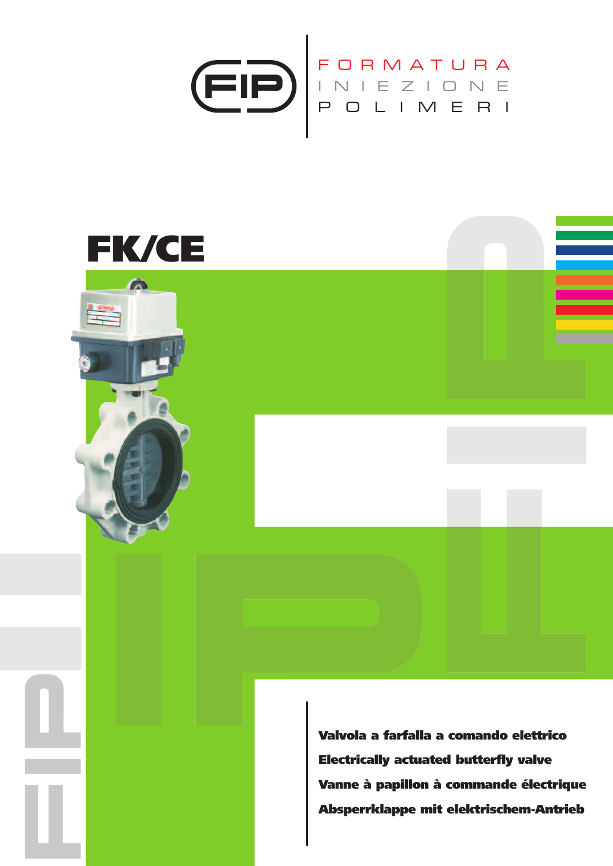





Valvola a farfalla a comando elettrico **Electrically actuated butterfly valve** Vanne à papillon à commande électrique Absperrklappe mit elektrischem-Antrieb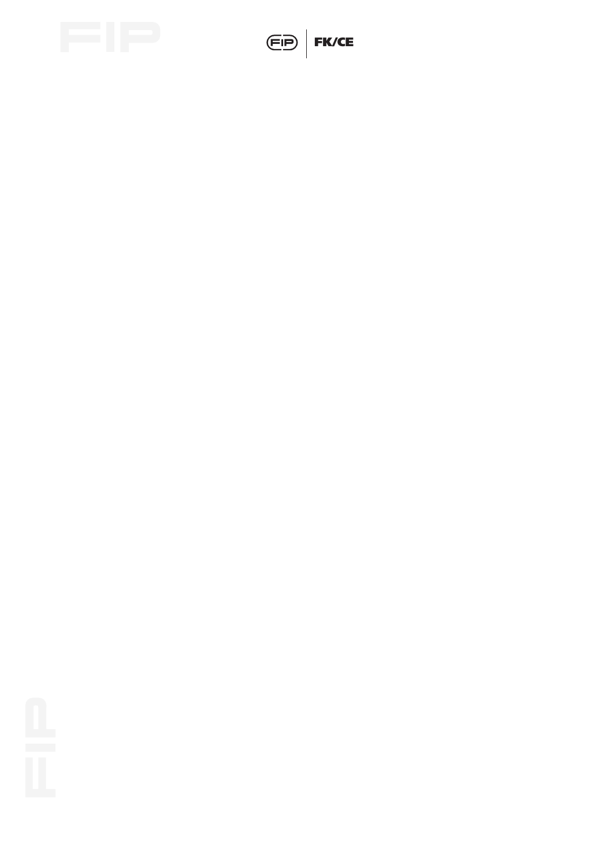

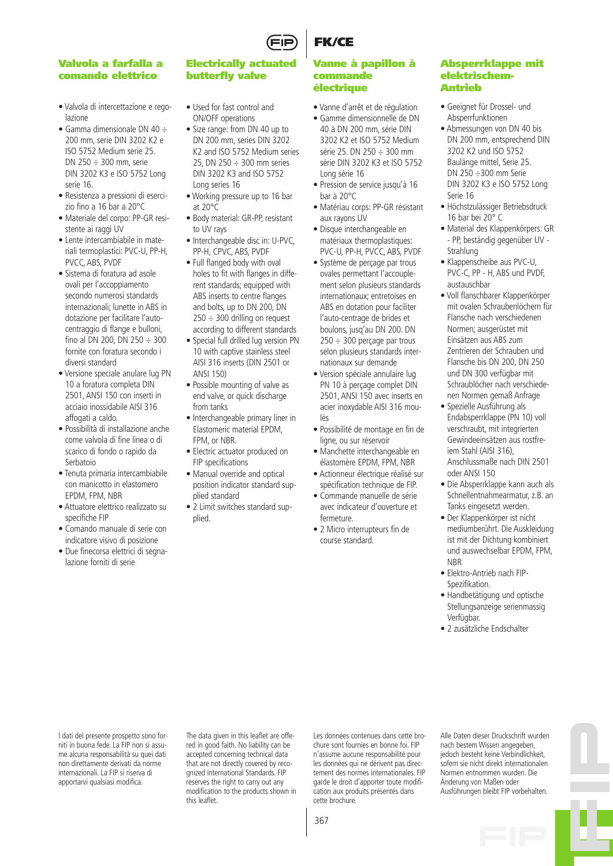### **Valvola a farfalla a comando elettrico**

- Valvola di intercettazione e regolazione
- Gamma dimensionale DN 40 ÷ 200 mm, serie DIN 3202 K2 e ISO 5752 Medium serie 25. DN 250 ÷ 300 mm, serie DIN 3202 K3 e ISO 5752 Long serie 16.
- Resistenza a pressioni di esercizio fino a 16 bar a 20°C
- Materiale del corpo: PP-GR resistente ai raggi UV
- Lente intercambiabile in materiali termoplastici: PVC-U, PP-H, PVCC, ABS, PVDF
- Sistema di foratura ad asole ovali per l'accoppiamento secondo numerosi standards internazionali; lunette in ABS in dotazione per facilitare l'autocentraggio di flange e bulloni, fino al DN 200, DN 250 ÷ 300 fornite con foratura secondo i diversi standard
- Versione speciale anulare lug PN 10 a foratura completa DIN 2501, ANSI 150 con inserti in acciaio inossidabile AISI 316 affogati a caldo.
- Possibilità di installazione anche come valvola di fine linea o di scarico di fondo o rapido da Serbatoio
- Tenuta primaria intercambiabile con manicotto in elastomero EPDM, FPM, NBR
- Attuatore elettrico realizzato su specifiche FIP
- Comando manuale di serie con indicatore visivo di posizione
- Due finecorsa elettrici di segnalazione forniti di serie

## **Electrically actuated butterfly valve**

- Used for fast control and ON/OFF operations
- Size range: from DN 40 up to DN 200 mm, series DIN 3202 K2 and ISO 5752 Medium series 25, DN 250 ÷ 300 mm series DIN 3202 K3 and ISO 5752 Long series 16
- Working pressure up to 16 bar at 20°C
- Body material: GR-PP, resistant to UV rays
- Interchangeable disc in: U-PVC, PP-H, CPVC, ABS, PVDF
- Full flanged body with oval holes to fit with flanges in different standards; equipped with ABS inserts to centre flanges and bolts, up to DN 200, DN  $250 \div 300$  drilling on request according to different standards
- Special full drilled lug version PN 10 with captive stainless steel AISI 316 inserts (DIN 2501 or ANSI 150)
- Possible mounting of valve as end valve, or quick discharge from tanks
- Interchangeable primary liner in Elastomeric material EPDM, FPM, or NBR.
- Electric actuator produced on FIP specifications
- Manual override and optical position indicator standard supplied standard
- 2 Limit switches standard supplied.

## **FK/CE**

### **Vanne à papillon à commande électrique**

- Vanne d'arrêt et de régulation
- Gamme dimensionnelle de DN 40 à DN 200 mm, série DIN 3202 K2 et ISO 5752 Medium série 25. DN 250 ÷ 300 mm série DIN 3202 K3 et ISO 5752 Long série 16
- Pression de service jusqu'à 16 bar à 20°C
- Matériau corps: PP-GR résistant aux rayons UV
- Disque interchangeable en matériaux thermoplastiques: PVC-U, PP-H, PVCC, ABS, PVDF
- Système de perçage par trous ovales permettant l'accouplement selon plusieurs standards internationaux; entretoises en ABS en dotation pour faciliter l'auto-centrage de brides et boulons, jusq'au DN 200. DN  $250 \div 300$  perçage par trous selon plusieurs standards internationaux sur demande
- Version spéciale annulaire lug PN 10 à perçage complet DIN 2501, ANSI 150 avec inserts en acier inoxydable AISI 316 moulés
- Possibilité de montage en fin de ligne, ou sur réservoir
- Manchette interchangeable en élastomère EPDM, FPM, NBR
- Actionneur électrique réalisé sur spécification technique de FIP.
- Commande manuelle de série avec indicateur d'ouverture et fermeture.
- 2 Micro interrupteurs fin de course standard.

### **Absperrklappe mit elektrischem-Antrieb**

- Geeignet für Drossel- und Absperrfunktionen
- Abmessungen von DN 40 bis DN 200 mm, entsprechend DIN 3202 K2 und ISO 5752 Baulänge mittel, Serie 25. DN 250 ÷300 mm Serie DIN 3202 K3 e ISO 5752 Long Serie 16
- Höchstzulässiger Betriebsdruck 16 bar bei 20° C
- Material des Klappenkörpers: GR - PP, beständig gegenüber UV - Strahlung
- Klappenscheibe aus PVC-U, PVC-C, PP - H, ABS und PVDF, austauschbar
- Voll flanschbarer Klappenkörper mit ovalen Schraubenlöchern für Flansche nach verschiedenen Normen; ausgerüstet mit Einsätzen aus ABS zum Zentrieren der Schrauben und Flansche bis DN 200, DN 250 und DN 300 verfügbar mit Schraublöcher nach verschiedenen Normen gemaß Anfrage
- Spezielle Ausführung als Endabsperrklappe (PN 10) voll verschraubt, mit integrierten Gewindeeinsätzen aus rostfreiem Stahl (AISI 316), Anschlussmaße nach DIN 2501 oder ANSI 150
- Die Absperrklappe kann auch als Schnellentnahmearmatur, z.B. an Tanks eingesetzt werden.
- Der Klappenkörper ist nicht mediumberührt. Die Auskleidung ist mit der Dichtung kombiniert und auswechselbar EPDM, FPM, NBR
- Elektro-Antrieb nach FIP-Spezifikation.
- Handbetätigung und optische Stellungsanzeige serienmassig Verfügbar.
- 2 zusätzliche Endschalter

l dati del presente prospetto sono forniti in buona fede. La FIP non si assume alcuna responsabilità su quei dati non direttamente derivati da norme internazionali. La FIP si riserva di apportarvi qualsiasi modifica.

The data given in this leaflet are offered in good faith. No liability can be accepted concerning technical data that are not directly covered by recognized international Standards. FIP reserves the right to carry out any modification to the products shown in this leaflet.

Les données contenues dans cette brochure sont fournies en bonne foi. FIP n'assume aucune responsabilité pour les données qui ne dérivent pas directement des normes internationales. FIP garde le droit d'apporter toute modification aux produits présentés dans cette brochure.

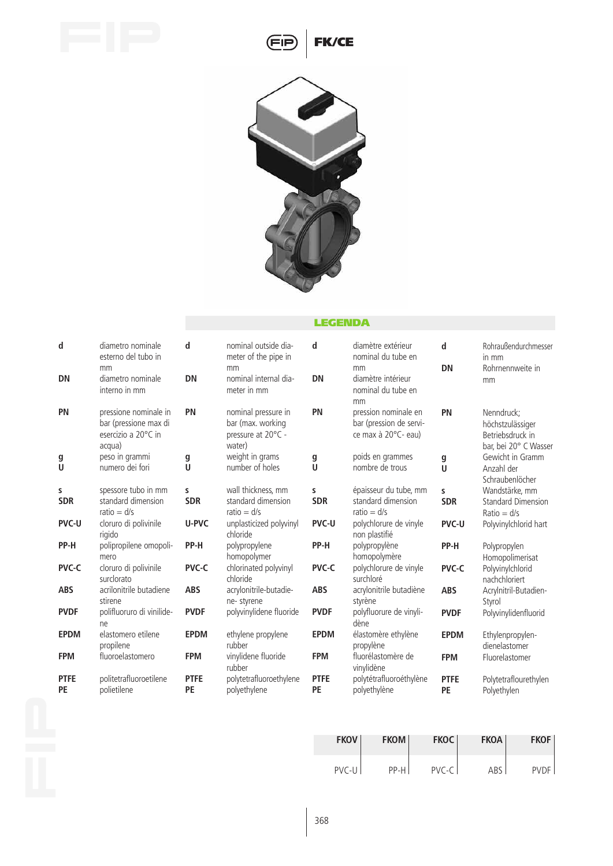







## **LEGENDA**

| d            | diametro nominale<br>esterno del tubo in                                        | d            | nominal outside dia-<br>meter of the pipe in                             | d            | diamètre extérieur<br>nominal du tube en                               | d            | Rohraußendurchmesser<br>in mm                                               |
|--------------|---------------------------------------------------------------------------------|--------------|--------------------------------------------------------------------------|--------------|------------------------------------------------------------------------|--------------|-----------------------------------------------------------------------------|
|              | mm                                                                              |              | mm                                                                       |              | mm                                                                     | <b>DN</b>    | Rohrnennweite in                                                            |
| <b>DN</b>    | diametro nominale<br>interno in mm                                              | <b>DN</b>    | nominal internal dia-<br>meter in mm                                     | <b>DN</b>    | diamètre intérieur<br>nominal du tube en<br>mm                         |              | mm                                                                          |
| PN           | pressione nominale in<br>bar (pressione max di<br>esercizio a 20°C in<br>acqua) | <b>PN</b>    | nominal pressure in<br>bar (max. working<br>pressure at 20°C -<br>water) | PN           | pression nominale en<br>bar (pression de servi-<br>ce max à 20°C- eau) | <b>PN</b>    | Nenndruck;<br>höchstzulässiger<br>Betriebsdruck in<br>bar, bei 20° C Wasser |
| g            | peso in grammi                                                                  | g            | weight in grams                                                          | g            | poids en grammes                                                       | g            | Gewicht in Gramm                                                            |
| U            | numero dei fori                                                                 | U            | number of holes                                                          | U            | nombre de trous                                                        | U            | Anzahl der<br>Schraubenlöcher                                               |
| S            | spessore tubo in mm                                                             | S            | wall thickness, mm                                                       | S            | épaisseur du tube, mm                                                  | S            | Wandstärke, mm                                                              |
| <b>SDR</b>   | standard dimension<br>ratio $= d/s$                                             | <b>SDR</b>   | standard dimension<br>ratio = $d/s$                                      | <b>SDR</b>   | standard dimension<br>ratio = $d/s$                                    | <b>SDR</b>   | <b>Standard Dimension</b><br>$Ratio = d/s$                                  |
| <b>PVC-U</b> | cloruro di polivinile<br>rigido                                                 | U-PVC        | unplasticized polyvinyl<br>chloride                                      | <b>PVC-U</b> | polychlorure de vinyle<br>non plastifié                                | <b>PVC-U</b> | Polyvinylchlorid hart                                                       |
| PP-H         | polipropilene omopoli-<br>mero                                                  | PP-H         | polypropylene<br>homopolymer                                             | PP-H         | polypropylène<br>homopolymère                                          | PP-H         | Polypropylen<br>Homopolimerisat                                             |
| <b>PVC-C</b> | cloruro di polivinile<br>surclorato                                             | <b>PVC-C</b> | chlorinated polyvinyl<br>chloride                                        | <b>PVC-C</b> | polychlorure de vinyle<br>surchloré                                    | <b>PVC-C</b> | Polyvinylchlorid<br>nachchloriert                                           |
| <b>ABS</b>   | acrilonitrile butadiene<br>stirene                                              | <b>ABS</b>   | acrylonitrile-butadie-<br>ne-styrene                                     | <b>ABS</b>   | acrylonitrile butadiène<br>styrène                                     | <b>ABS</b>   | Acrylnitril-Butadien-<br>Styrol                                             |
| <b>PVDF</b>  | polifluoruro di vinilide-<br>ne                                                 | <b>PVDF</b>  | polyvinylidene fluoride                                                  | <b>PVDF</b>  | polyfluorure de vinyli-<br>dène                                        | <b>PVDF</b>  | Polyvinylidenfluorid                                                        |
| <b>EPDM</b>  | elastomero etilene<br>propilene                                                 | <b>EPDM</b>  | ethylene propylene<br>rubber                                             | <b>EPDM</b>  | élastomère ethylène<br>propylène                                       | <b>EPDM</b>  | Ethylenpropylen-<br>dienelastomer                                           |
| <b>FPM</b>   | fluoroelastomero                                                                | <b>FPM</b>   | vinylidene fluoride<br>rubber                                            | <b>FPM</b>   | fluorélastomère de<br>vinylidène                                       | <b>FPM</b>   | Fluorelastomer                                                              |
| <b>PTFE</b>  | politetrafluoroetilene                                                          | <b>PTFE</b>  | polytetrafluoroethylene                                                  | <b>PTFE</b>  | polytétrafluoroéthylène                                                | <b>PTFE</b>  | Polytetraflourethylen                                                       |
| <b>PE</b>    | polietilene                                                                     | <b>PE</b>    | polyethylene                                                             | PE           | polyethylène                                                           | PE           | Polyethylen                                                                 |

| <b>FKOV</b> | <b>FKOM</b> | <b>FKOC</b> | <b>FKOA</b> | <b>FKOF</b> |
|-------------|-------------|-------------|-------------|-------------|
| $PVC-11$    | $PP-H$      | $PVC-C$     | ABS         | <b>PVDF</b> |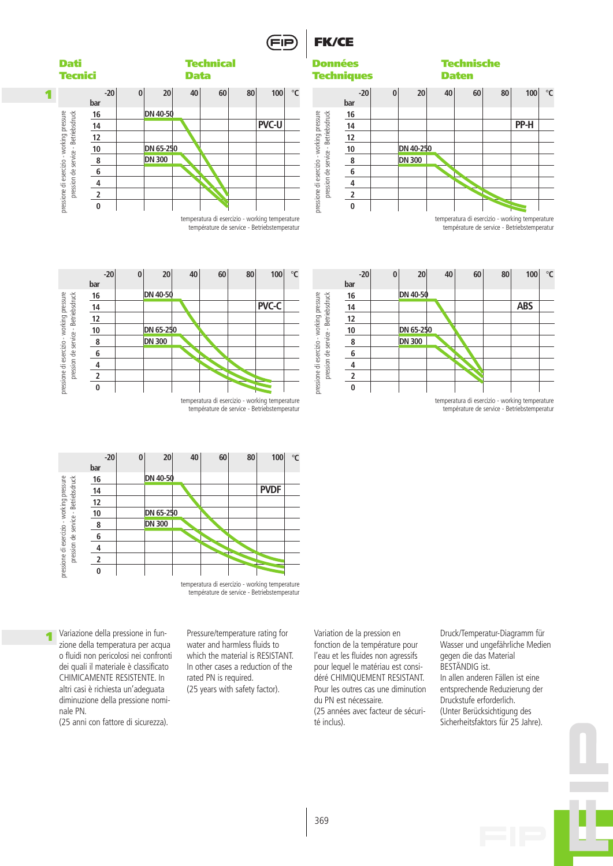

# **FK/CE**

**Données Techniques**

### **Technische Daten**



temperatura di esercizio - working temperature température de service - Betriebstemperatur



temperatura di esercizio - working temperature température de service - Betriebstemperatur



**Technical** 

**1**

**Dati** 

température de service - Betriebstemperatur





température de service - Betriebstemperatur

Variazione della pressione in funzione della temperatura per acqua o fluidi non pericolosi nei confronti dei quali il materiale è classificato CHIMICAMENTE RESISTENTE. In altri casi è richiesta un'adeguata diminuzione della pressione nominale PN.

**1**

(25 anni con fattore di sicurezza).

Pressure/temperature rating for water and harmless fluids to which the material is RESISTANT. In other cases a reduction of the rated PN is required. (25 years with safety factor).

Variation de la pression en fonction de la température pour l'eau et les fluides non agressifs pour lequel le matériau est considéré CHIMIQUEMENT RESISTANT. Pour les outres cas une diminution du PN est nécessaire.

(25 années avec facteur de sécurité inclus).

Druck/Temperatur-Diagramm für Wasser und ungefährliche Medien gegen die das Material BESTÄNDIG ist. In allen anderen Fällen ist eine entsprechende Reduzierung der Druckstufe erforderlich. (Unter Berücksichtigung des Sicherheitsfaktors für 25 Jahre).

369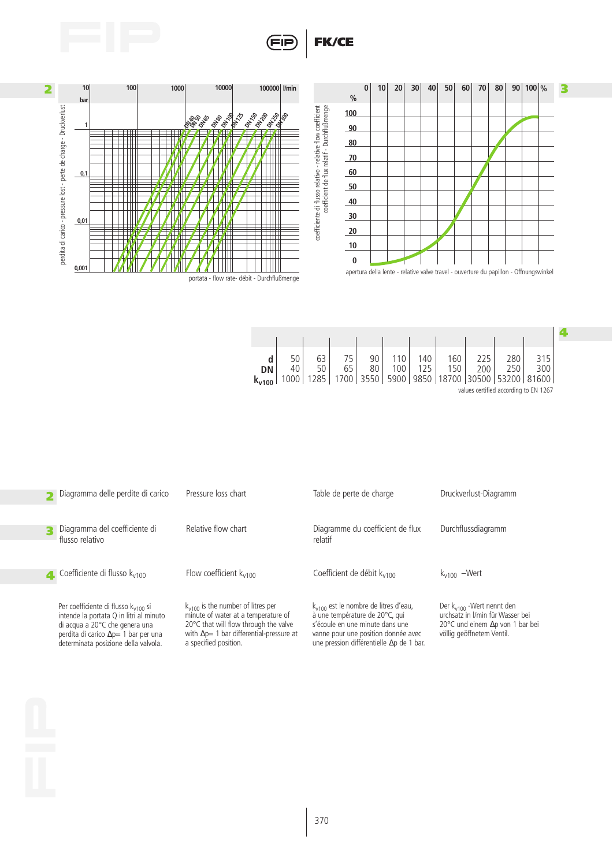







| <b>DN</b><br>$k_{v100}$ | 50<br>40<br>1000                      | 63<br>50<br>1285 | 75.<br>65 | 90<br>80 | 100 | 140<br>125 | 160<br>150 | 200 | 280<br>250 i | 315<br>300<br>1700   3550   5900   9850   18700   30500   53200   81600 |  |
|-------------------------|---------------------------------------|------------------|-----------|----------|-----|------------|------------|-----|--------------|-------------------------------------------------------------------------|--|
|                         | values certified according to EN 1267 |                  |           |          |     |            |            |     |              |                                                                         |  |

Per coefficiente di flusso k<sub>v100</sub> si<br>intende la portata Q in litri al minuto di acqua a 20°C che genera una perdita di carico ∆p= 1 bar per una determinata posizione della valvola. k<sub>v100</sub> is the number of litres per<br>minute of water at a temperature of 20°C that will flow through the valve with Δp= 1 bar differential-pressure at a specified position. k<sub>v100</sub> est le nombre de litres d'eau, à une température de 20°C, qui s'écoule en une minute dans une vanne pour une position donnée avec une pression différentielle ∆p de 1 bar. Der k<sub>v100</sub> -Wert nennt den<br>urchsatz in l/min für Wasser bei 20°C und einem ∆p von 1 bar bei völlig geöffnetem Ventil. **2** Diagramma delle perdite di carico Pressure loss chart Table de perte de charge Druckverlust-Diagramm **3** Diagramma del coefficiente di flusso relativo Relative flow chart **Diagramme** du coefficient de flux relatif Durchflussdiagramm **4** Coefficiente di flusso k<sub>v100</sub> Flow coefficient k<sub>v100</sub> Coefficient de débit k<sub>v100</sub> k<sub>v100</sub> –Wert

### **4**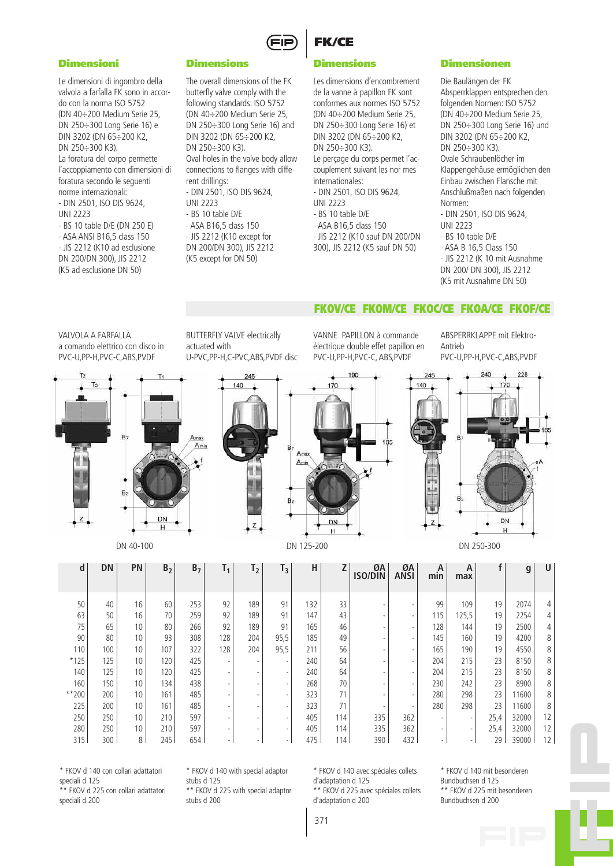Le dimensioni di ingombro della valvola a farfalla FK sono in accordo con la norma ISO 5752 (DN 40÷200 Medium Serie 25, DN 250÷300 Long Serie 16) e DIN 3202 (DN 65÷200 K2, DN 250÷300 K3). La foratura del corpo permette l'accoppiamento con dimensioni di foratura secondo le seguenti norme internazionali: - DIN 2501, ISO DIS 9624,

UNI 2223

- BS 10 table D/E (DN 250 E) - ASA ANSI B16,5 class 150 - JIS 2212 (K10 ad esclusione DN 200/DN 300), JIS 2212 (K5 ad esclusione DN 50)

The overall dimensions of the FK butterfly valve comply with the following standards: ISO 5752 (DN 40÷200 Medium Serie 25, DN 250÷300 Long Serie 16) and DIN 3202 (DN 65÷200 K2, DN 250÷300 K3). Oval holes in the valve body allow connections to flanges with different drillings: - DIN 2501, ISO DIS 9624, UNI 2223 - BS 10 table D/E

- ASA B16,5 class 150
- JIS 2212 (K10 except for DN 200/DN 300), JIS 2212 (K5 except for DN 50)

BUTTERFLY VALVE electrically

U-PVC,PP-H,C-PVC,ABS,PVDF disc

actuated with

Amir

## **FK/CE**

(FIP

Les dimensions d'encombrement de la vanne à papillon FK sont conformes aux normes ISO 5752 (DN 40÷200 Medium Serie 25, DN 250÷300 Long Serie 16) et DIN 3202 (DN 65÷200 K2, DN 250÷300 K3). Le perçage du corps permet l'accouplement suivant les nor mes internationales: - DIN 2501, ISO DIS 9624, UNI 2223 - BS 10 table D/E - ASA B16,5 class 150 - JIS 2212 (K10 sauf DN 200/DN 300), JIS 2212 (K5 sauf DN 50)

VANNE PAPILLON à commande électrique double effet papillon en PVC-U,PP-H,PVC-C, ABS,PVDF

### **Dimensioni Dimensions Dimensions Dimensionen**

Die Baulängen der FK Absperrklappen entsprechen den folgenden Normen: ISO 5752 (DN 40÷200 Medium Serie 25, DN 250÷300 Long Serie 16) und DIN 3202 (DN 65÷200 K2, DN 250÷300 K3). Ovale Schraubenlöcher im Klappengehäuse ermöglichen den Einbau zwischen Flansche mit Anschlußmaßen nach folgenden Normen:

- DIN 2501, ISO DIS 9624, UNI 2223

- BS 10 table D/E

- ASA B 16,5 Class 150 - JIS 2212 (K 10 mit Ausnahme DN 200/ DN 300), JIS 2212 (K5 mit Ausnahme DN 50)

ABSPERRKLAPPE mit Elektro-

PVC-U,PP-H,PVC-C,ABS,PVDF

## **FKOV/CE FKOM/CE FKOC/CE FKOA/CE FKOF/CE**

140

Antrieb

VALVOLA A FARFALLA a comando elettrico con disco in PVC-U,PP-H,PVC-C,ABS,PVDF

 $T_3$  $B<sub>2</sub>$ R2 DN  $H$ 







**d** 50 63 75 90 110 \*125 140 160 \*\*200  $225$  $250$ 280 315 **DN** 40 50 65 80 100 125 125 150 200 200 250 250 300 **PN** 16 16 10 10 10 10 10  $1<sub>0</sub>$ 10  $1<sub>0</sub>$  $10$ 10 8 **B2** 60 70 80 93 107 120 120 134 161 161 210 210 245 **B7** 253 259 266 308 322 425 425 438 485 485 597 597 654 **T1** 92 92 92 128 128 - - - - - - - - **T2** 189 189 189 204 204 - - - - - - - - **T3** 91 91 91 95,5 95,5 - - - - - - - - **H** 132 147 165 185 211 240 240 268 323 323 405 405 475 **Z** 33 43 46 49 56 64 64 70 71 71 114 114 114 **ØA ISO/DIN** - - - - - - - - - - 335 335 390 **ØA ANSI** - - - - - - - - - - 362 362 432 **A min** 99 115 128 145 165 204 204 230 280 280 - - - **A max** 109 125,5 144 160 190 215 215  $747$ 298 298 - - **f** 19 19 19 19 19 23 23  $23$  $23$  $23$  $25<sub>4</sub>$  $25<sub>4</sub>$ 29 **g** 2074 2254 2500 4200 4550 8150 8150 8900 11600 11600 32000 32000 39000 **U** 4 4 4 8 8 8 8 8 8 8 12 12  $12$ 

\* FKOV d 140 con collari adattatori speciali d 125

\*\* FKOV d 225 con collari adattatori speciali d 200

\* FKOV d 140 with special adaptor stubs d 125

\*\* FKOV d 225 with special adaptor stubs d 200

\* FKOV d 140 avec spéciales collets d'adaptation d 125

\*\* FKOV d 225 avec spéciales collets d'adaptation d 200

\* FKOV d 140 mit besonderen Bundbuchsen d 125

\*\* FKOV d 225 mit besonderen Bundbuchsen d 200

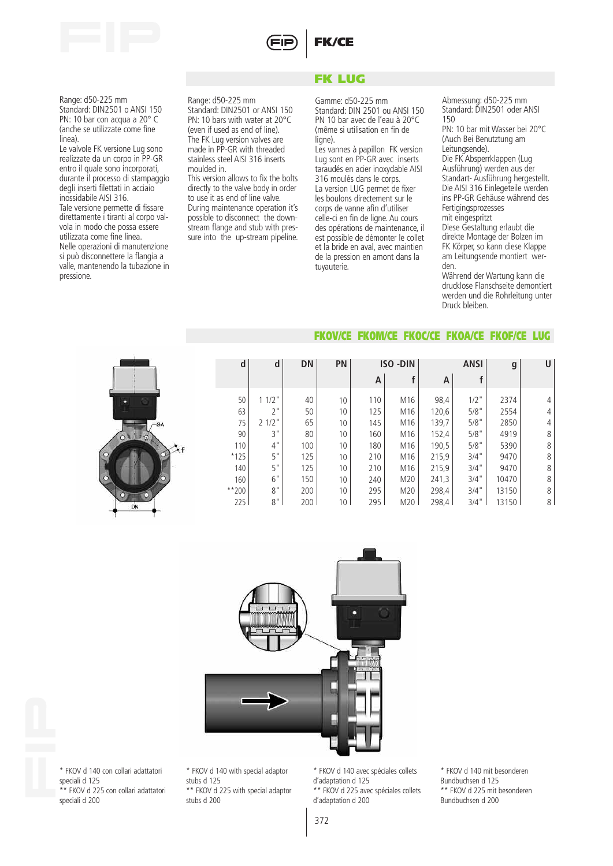





**FK LUG**

### Range: d50-225 mm

Standard: DIN2501 o ANSI 150 PN: 10 bar con acqua a 20° C (anche se utilizzate come fine linea).

Le valvole FK versione Lug sono realizzate da un corpo in PP-GR entro il quale sono incorporati, durante il processo di stampaggio degli inserti filettati in acciaio inossidabile AISI 316.

Tale versione permette di fissare direttamente i tiranti al corpo valvola in modo che possa essere utilizzata come fine linea. Nelle operazioni di manutenzione si può disconnettere la flangia a valle, mantenendo la tubazione in pressione.

Range: d50-225 mm

Standard: DIN2501 or ANSI 150 PN: 10 bars with water at 20°C (even if used as end of line). The FK Lug version valves are made in PP-GR with threaded stainless steel AISI 316 inserts moulded in.

This version allows to fix the bolts directly to the valve body in order to use it as end of line valve. During maintenance operation it's possible to disconnect the downstream flange and stub with pressure into the up-stream pipeline.

Gamme: d50-225 mm Standard: DIN 2501 ou ANSI 150 PN 10 bar avec de l'eau à 20°C (même si utilisation en fin de ligne).

Les vannes à papillon FK version Lug sont en PP-GR avec inserts taraudés en acier inoxydable AISI 316 moulés dans le corps. La version LUG permet de fixer les boulons directement sur le corps de vanne afin d'utiliser celle-ci en fin de ligne. Au cours des opérations de maintenance, il est possible de démonter le collet et la bride en aval, avec maintien de la pression en amont dans la tuyauterie.

Abmessung: d50-225 mm Standard: DIN2501 oder ANSI 150

PN: 10 bar mit Wasser bei 20°C (Auch Bei Benutztung am Leitungsende).

Die FK Absperrklappen (Lug Ausführung) werden aus der Standart- Ausführung hergestellt. Die AISI 316 Einlegeteile werden ins PP-GR Gehäuse während des Fertigingsprozesses

mit eingespritzt Diese Gestaltung erlaubt die direkte Montage der Bolzen im FK Körper, so kann diese Klappe am Leitungsende montiert werden.

Während der Wartung kann die drucklose Flanschseite demontiert werden und die Rohrleitung unter Druck bleiben.

## **FKOV/CE FKOM/CE FKOC/CE FKOA/CE FKOF/CE LUG**



| d       | d        | <b>DN</b> | <b>PN</b> |     | <b>ISO-DIN</b> |       | <b>ANSI</b> | g     | U |
|---------|----------|-----------|-----------|-----|----------------|-------|-------------|-------|---|
|         |          |           |           | A   | f              | A     | f           |       |   |
| 50      | $11/2$ " | 40        | 10        | 110 | M16            | 98,4  | $1/2$ "     | 2374  | 4 |
| 63      | 2"       | 50        | 10        | 125 | M16            | 120,6 | 5/8"        | 2554  | 4 |
| 75      | 21/2"    | 65        | 10        | 145 | M16            | 139,7 | 5/8"        | 2850  | 4 |
| 90      | 3"       | 80        | 10        | 160 | M16            | 152,4 | 5/8"        | 4919  | 8 |
| 110     | 4"       | 100       | 10        | 180 | M16            | 190,5 | 5/8"        | 5390  | 8 |
| $*125$  | 5"       | 125       | 10        | 210 | M16            | 215,9 | $3/4$ "     | 9470  | 8 |
| 140     | 5"       | 125       | 10        | 210 | M16            | 215,9 | $3/4$ "     | 9470  | 8 |
| 160     | 6"       | 150       | 10        | 240 | M20            | 241,3 | $3/4$ "     | 10470 | 8 |
| $**200$ | 8"       | 200       | 10        | 295 | M20            | 298,4 | 3/4"        | 13150 | 8 |
| 225     | 8"       | 200       | 10        | 295 | M20            | 298,4 | 3/4"        | 13150 | 8 |



\* FKOV d 140 con collari adattatori speciali d 125 \*\* FKOV d 225 con collari adattatori speciali d 200

\* FKOV d 140 with special adaptor stubs d 125 \*\* FKOV d 225 with special adaptor stubs d 200

\* FKOV d 140 avec spéciales collets d'adaptation d 125

\*\* FKOV d 225 avec spéciales collets d'adaptation d 200

\* FKOV d 140 mit besonderen Bundbuchsen d 125 \*\* FKOV d 225 mit besonderen Bundbuchsen d 200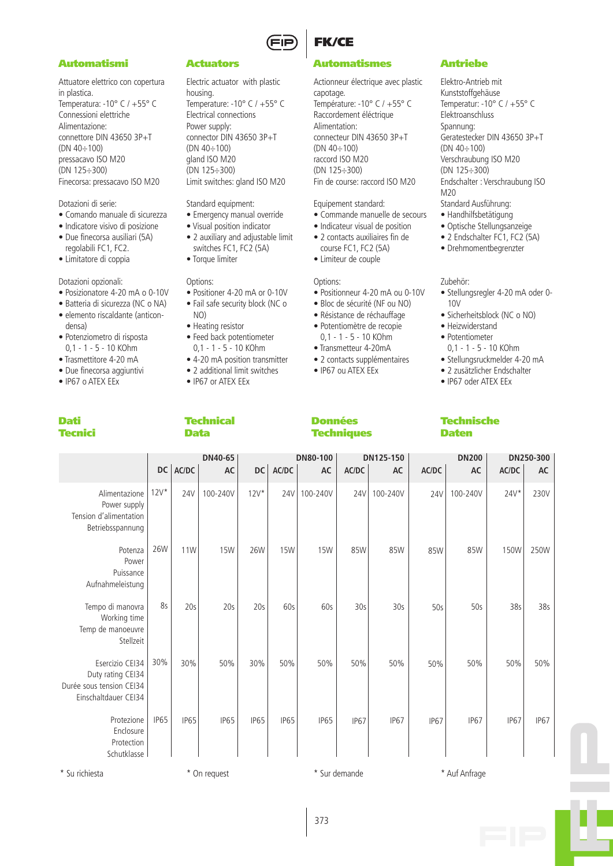Attuatore elettrico con copertura in plastica. Temperatura: -10° C / +55° C Connessioni elettriche Alimentazione: connettore DIN 43650 3P+T (DN 40÷100) pressacavo ISO M20 (DN 125÷300) Finecorsa: pressacavo ISO M20

### Dotazioni di serie:

- Comando manuale di sicurezza
- Indicatore visivo di posizione
- Due finecorsa ausiliari (5A) regolabili FC1, FC2.
- Limitatore di coppia

### Dotazioni opzionali:

- Posizionatore 4-20 mA o 0-10V
- Batteria di sicurezza (NC o NA)
- elemento riscaldante (anticondensa)
- Potenziometro di risposta 0,1 - 1 - 5 - 10 KOhm
- Trasmettitore 4-20 mA
- Due finecorsa aggiuntivi
- IP67 o ATEX EEx

### **Dati Tecnici**

Electric actuator with plastic housing. Temperature: -10° C / +55° C Electrical connections Power supply: connector DIN 43650 3P+T (DN 40÷100) gland ISO M20 (DN 125÷300) Limit switches: gland ISO M20

### Standard equipment:

- Emergency manual override
- Visual position indicator
- 2 auxiliary and adjustable limit switches FC1, FC2 (5A)
- Torque limiter

### Options:

- Positioner 4-20 mA or 0-10V • Fail safe security block (NC o
- NO) • Heating resistor
- Feed back potentiometer 0,1 - 1 - 5 - 10 KOhm
- 4-20 mA position transmitter
- 2 additional limit switches
- IP67 or ATEX EEx

### **Technical Data**

# **FK/CE**

EIE

### **Automatismi Actuators Automatismes Antriebe**

Actionneur électrique avec plastic capotage. Température: -10° C / +55° C Raccordement éléctrique Alimentation: connecteur DIN 43650 3P+T (DN 40÷100) raccord ISO M20 (DN 125÷300) Fin de course: raccord ISO M20

Equipement standard:

- Commande manuelle de secours
- Indicateur visual de position
- 2 contacts auxiliaires fin de
- course FC1, FC2 (5A)
- Limiteur de couple

### Options:

- Positionneur 4-20 mA ou 0-10V
- Bloc de sécurité (NF ou NO)
- Résistance de réchauffage
- Potentiomètre de recopie
- 0,1 1 5 10 KOhm
- Transmetteur 4-20mA
- 2 contacts supplémentaires
- IP67 ou ATEX EEx

Elektro-Antrieb mit Kunststoffgehäuse Temperatur: -10° C / +55° C Elektroanschluss Spannung: Geratestecker DIN 43650 3P+T (DN 40÷100) Verschraubung ISO M20 (DN 125÷300) Endschalter : Verschraubung ISO M<sub>20</sub>

- Standard Ausführung:
- Handhilfsbetätigung
- Optische Stellungsanzeige
- 2 Endschalter FC1, FC2 (5A)
- Drehmomentbegrenzter

### Zubehör:

- Stellungsregler 4-20 mA oder 0- 10V
- Sicherheitsblock (NC o NO)
- Heizwiderstand
- Potentiometer
	- 0,1 1 5 10 KOhm
- Stellungsruckmelder 4-20 mA
- 2 zusätzlicher Endschalter
- IP67 oder ATEX EEx

**Technische Daten**

### **Données Techniques**

### Alimentazione Power supply Tension d'alimentation Betriebsspannung Potenza Power Puissance Aufnahmeleistung Tempo di manovra Working time Temp de manoeuvre Stellzeit Esercizio CEI34 Duty rating CEI34 Durée sous tension CEI34 Einschaltdauer CEI34 Protezione Enclosure Protection **Schutklasse DN200 AC** 100-240V 85W 50s 50% IP67 **DN125-150 AC** 100-240V 85W 30s 50% IP67 **DN80-100 AC** 100-240V 15W 60s 50% IP65 **DC** 12V\* 26W 20s 30% IP65 **DC** 12V\* 26W  $8<sup>5</sup>$ 30% IP65 **DN40-65 AC** 100-240V 15W 20s 50% IP65 **AC/DC** 24V 11W 20s 30% IP65 **AC/DC** 24V 15W 60s 50% IP65 **AC/DC** 24V 85W 30s 50% IP67 **AC/DC** 24V 85W 50s 50% IP67 **DN250-300 AC** 230V 250W 38s 50% IP67 **AC/DC** 24V\* 150W 38s 50% IP67

\* Su richiesta \* On request \* \* \* \* ^ \* Sur demande \* \* Auf Anfrage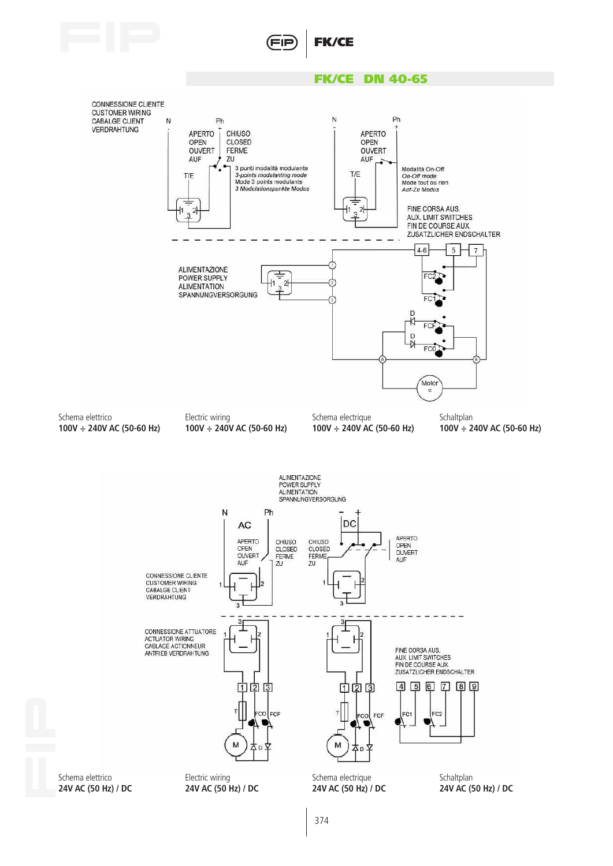



## **FK/CE DN 40-65**

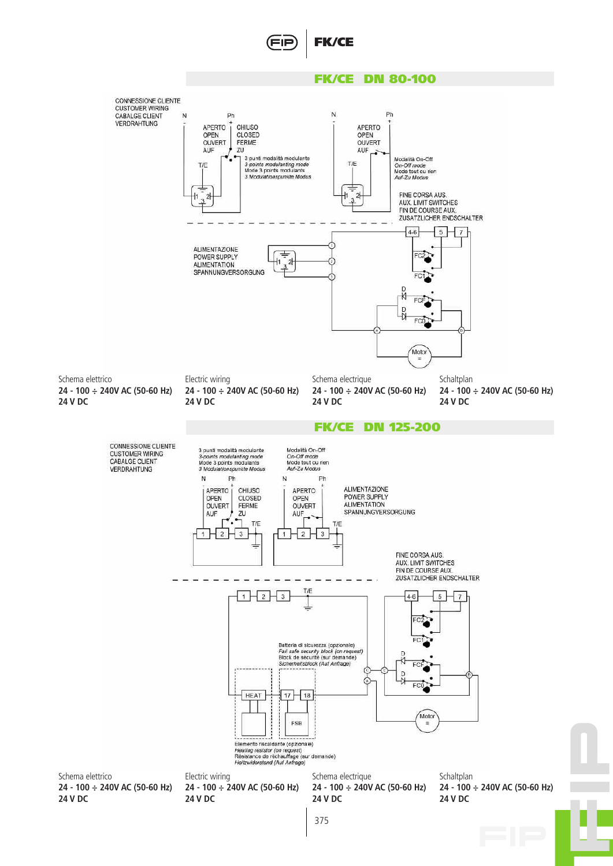

**FK/CE DN 80-100**

**FK/CE**

(FIP)

Schema elettrico **24 - 100 ÷ 240V AC (50-60 Hz) 24 V DC**

Electric wiring **24 - 100 ÷ 240V AC (50-60 Hz) 24 V DC**

HEAT

 $17$ 18

Commento riscaldante (opzionale)<br>
Healing resistor (on request)<br>
Résistance de réchauffage (sur demande)<br>
Heitzwiderstand (Auf Anfrage)

ESB

Schema electrique **24 - 100 ÷ 240V AC (50-60 Hz) 24 V DC**

EC D **FCC** 

Motor

 $\equiv$ 

**Schaltplan 24 - 100 ÷ 240V AC (50-60 Hz) 24 V DC**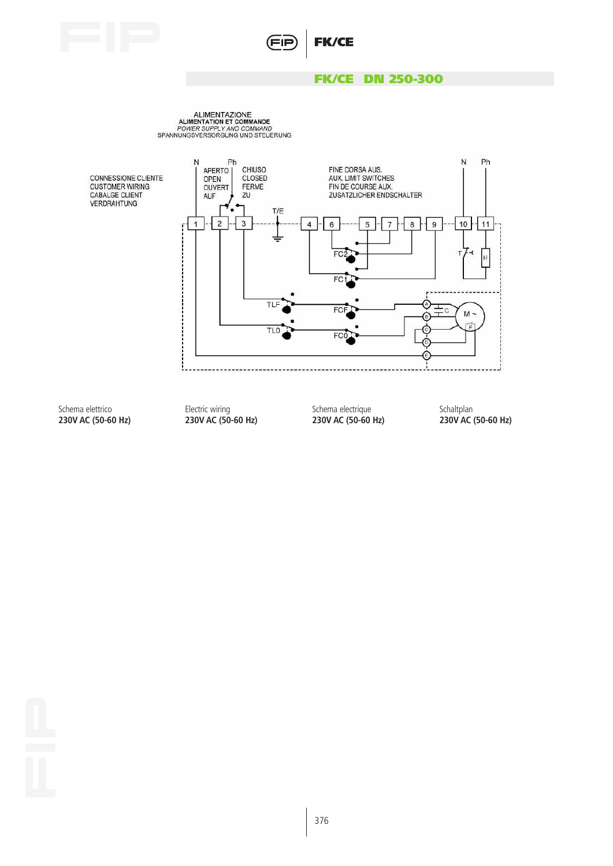



## **FK/CE DN 250-300**

ALIMENTAZIONE<br>ALIMENTATION ET COMMANDE<br>POWER SUPPLY AND COMMAND<br>SPANNUNGSVERSORGUNG UND STEUERUNG

CONNESSIONE CLIENTE<br>CUSTOMER WIRING<br>CABALGE CLIENT<br>VERDRAHTUNG  $\overline{1}$ j



Schema elettrico **230V AC (50-60 Hz)** Electric wiring **230V AC (50-60 Hz)** Schema electrique **230V AC (50-60 Hz)** **Schaltplan 230V AC (50-60 Hz)**

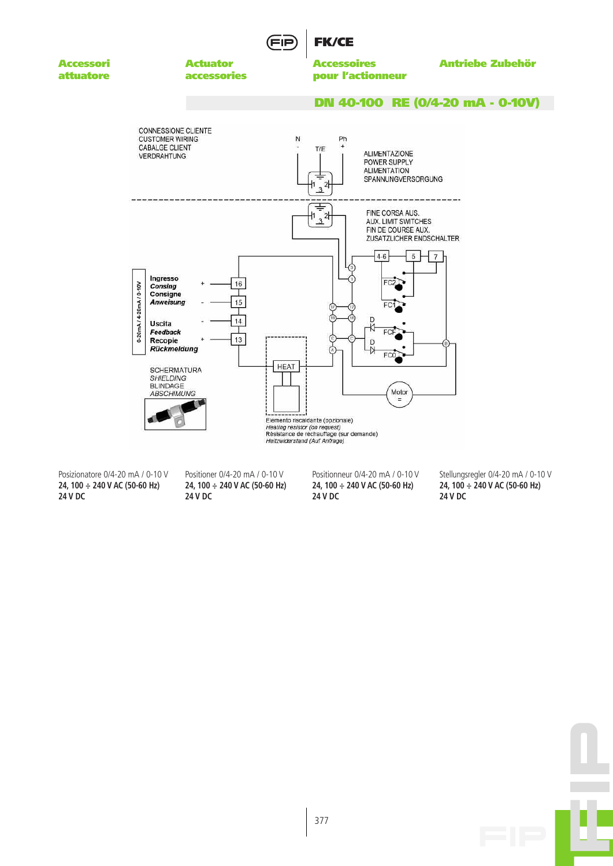

Posizionatore 0/4-20 mA / 0-10 V **24, 100 ÷ 240 V AC (50-60 Hz) 24 V DC**

Positioner 0/4-20 mA / 0-10 V **24, 100 ÷ 240 V AC (50-60 Hz) 24 V DC**

Positionneur 0/4-20 mA / 0-10 V **24, 100 ÷ 240 V AC (50-60 Hz) 24 V DC**

Stellungsregler 0/4-20 mA / 0-10 V **24, 100 ÷ 240 V AC (50-60 Hz) 24 V DC**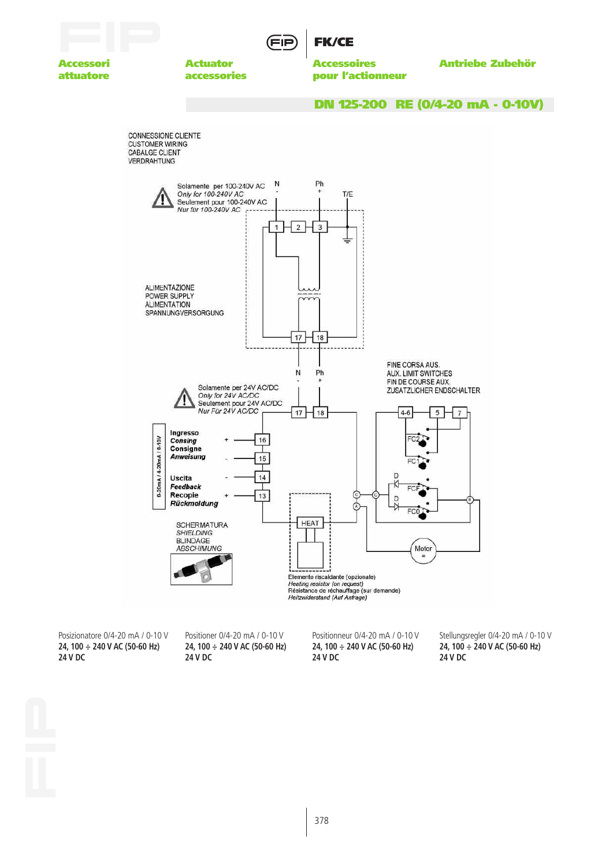

Posizionatore 0/4-20 mA / 0-10 V **24, 100 ÷ 240 V AC (50-60 Hz) 24 V DC**

Positioner 0/4-20 mA / 0-10 V **24, 100 ÷ 240 V AC (50-60 Hz) 24 V DC**

Positionneur 0/4-20 mA / 0-10 V **24, 100 ÷ 240 V AC (50-60 Hz) 24 V DC**

Stellungsregler 0/4-20 mA / 0-10 V **24, 100 ÷ 240 V AC (50-60 Hz) 24 V DC**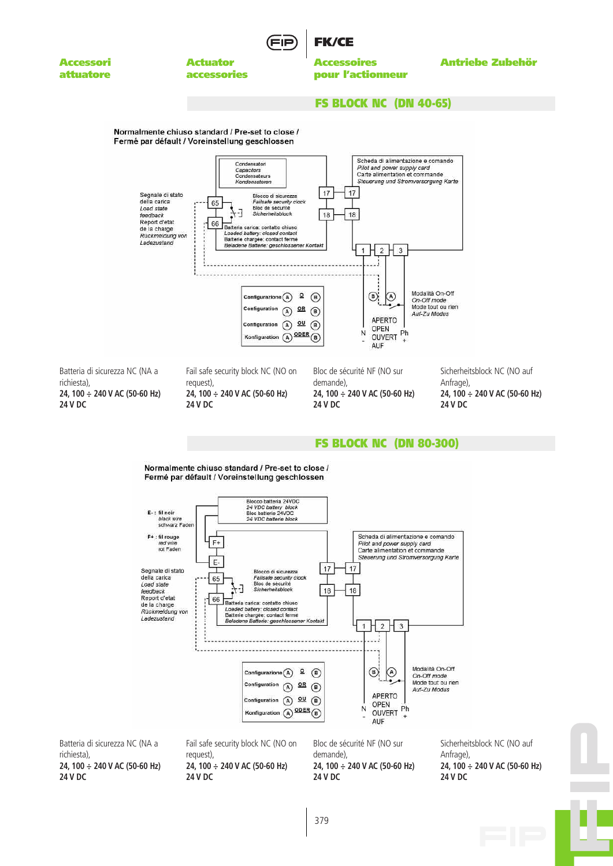

### **FS BLOCK NC (DN 80-300)**

Normalmente chiuso standard / Pre-set to close / Fermé par défault / Voreinstellung geschlossen



Batteria di sicurezza NC (NA a richiesta), **24, 100 ÷ 240 V AC (50-60 Hz) 24 V DC**

Fail safe security block NC (NO on request), **24, 100 ÷ 240 V AC (50-60 Hz) 24 V DC**

Bloc de sécurité NF (NO sur demande), **24, 100 ÷ 240 V AC (50-60 Hz) 24 V DC**

Sicherheitsblock NC (NO auf Anfrage), **24, 100 ÷ 240 V AC (50-60 Hz) 24 V DC**

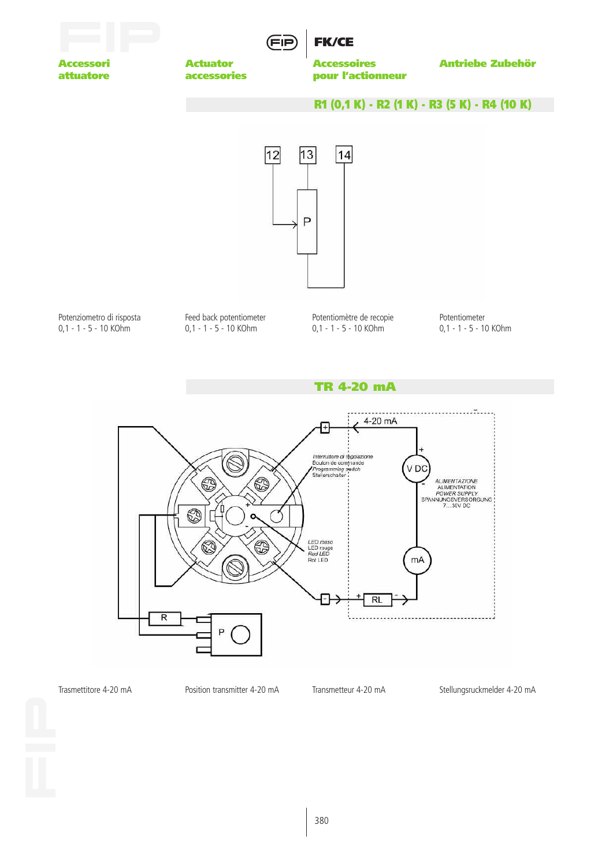



**Accessori attuatore** **Actuator accessories** **Accessoires pour l'actionneur**

**FK/CE**

**Antriebe Zubehör**

## **R1 (0,1 K) - R2 (1 K) - R3 (5 K) - R4 (10 K)**



Potenziometro di risposta 0,1 - 1 - 5 - 10 KOhm

Feed back potentiometer 0,1 - 1 - 5 - 10 KOhm

Potentiomètre de recopie 0,1 - 1 - 5 - 10 KOhm

Potentiometer 0,1 - 1 - 5 - 10 KOhm

### **TR 4-20 mA**



Trasmettitore 4-20 mA Position transmitter 4-20 mA Transmetteur 4-20 mA Stellungsruckmelder 4-20 mA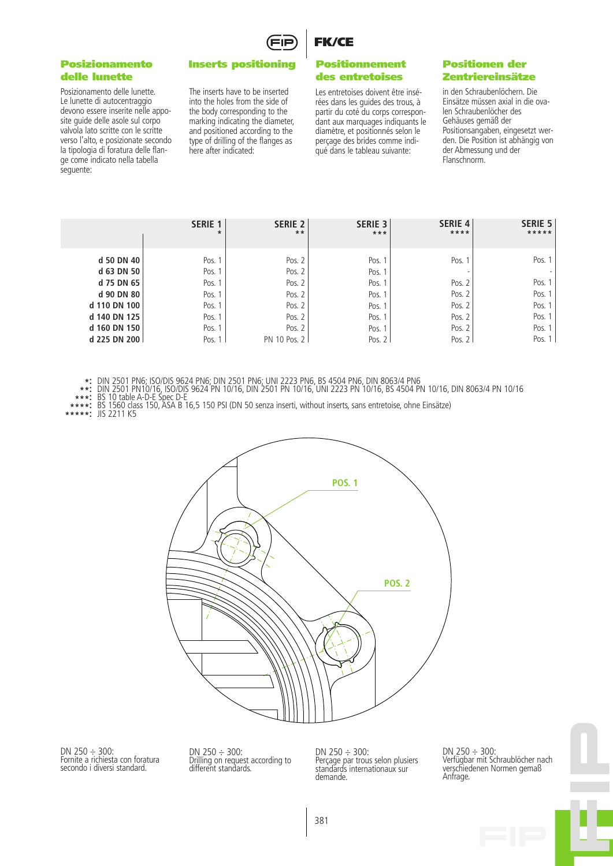

### **Posizionamento delle lunette**

Posizionamento delle lunette. Le lunette di autocentraggio devono essere inserite nelle apposite guide delle asole sul corpo valvola lato scritte con le scritte verso l'alto, e posizionate secondo la tipologia di foratura delle flange come indicato nella tabella seguente:

### **Inserts positioning Positionnement**

The inserts have to be inserted into the holes from the side of the body corresponding to the marking indicating the diameter, and positioned according to the type of drilling of the flanges as here after indicated:

# **FK/CE**

# **des entretoises**

Les entretoises doivent être insérées dans les guides des trous, à partir du coté du corps correspondant aux marquages indiquants le diamètre, et positionnés selon le perçage des brides comme indiqué dans le tableau suivante:

### **Positionen der Zentriereinsätze**

in den Schraubenlöchern. Die Einsätze müssen axial in die ovalen Schraubenlöcher des Gehäuses gemäß der Positionsangaben, eingesetzt werden. Die Position ist abhängig von der Abmessung und der Flanschnorm.

|              | <b>SERIE 1</b> | <b>SERIE 2</b> | <b>SERIE 3</b> | <b>SERIE 4</b> | <b>SERIE 5</b> |
|--------------|----------------|----------------|----------------|----------------|----------------|
|              | $\ast$         | $* *$          | $***$          | $* * * *$      | $* * * * * *$  |
| d 50 DN 40   | Pos. 1         | Pos. 2         | Pos. 1         | Pos. 1         | Pos. 1         |
| d 63 DN 50   | Pos. 1         | Pos. 2         | Pos. 1         |                |                |
| d 75 DN 65   | Pos. 1         | Pos. $2$       | Pos. 1         | Pos. 2         | Pos. 1         |
| d 90 DN 80   | Pos. 1         | Pos. 2         | Pos. 1         | Pos. 2         | Pos. $1$       |
| d 110 DN 100 | Pos. 1         | Pos. $2$       | Pos. 1         | Pos. 2         | Pos. $1$       |
| d 140 DN 125 | Pos. 1         | Pos. 2         | Pos. 1         | Pos. 2         | Pos. $1$       |
| d 160 DN 150 | Pos. 1         | Pos. $2$       | Pos. 1         | Pos. 2         | Pos. $1$       |
| d 225 DN 200 | Pos. 1         | PN 10 Pos. 2   | Pos. $2$       | Pos. $2$       | Pos. $1$       |

**\*:** DIN 2501 PN6; ISO/DIS 9624 PN6; DIN 2501 PN6; UNI 2223 PN6, BS 4504 PN6, DIN 8063/4 PN6

**\*\*:** DIN 2501 PN10/16, ISO/DIS 9624 PN 10/16, DIN 2501 PN 10/16, UNI 2223 PN 10/16, BS 4504 PN 10/16, DIN 8063/4 PN 10/16 **\*\*\*:** BS 10 table A-D-E Spec D-E

**\*\*\*\*:** BS 1560 class 150, ASA B 16,5 150 PSI (DN 50 senza inserti, without inserts, sans entretoise, ohne Einsätze) **\*\*\*\*\*:** JIS 2211 K5



DN 250 ÷ 300: Fornite a richiesta con foratura secondo i diversi standard.

DN  $250 \div 300$ : Drilling on request according to different standards.

DN 250 ÷ 300: Perçage par trous selon plusiers standards internationaux sur demande.

DN  $250 \div 300$ : Verfügbar mit Schraublöcher nach verschiedenen Normen gemaß Anfrage.

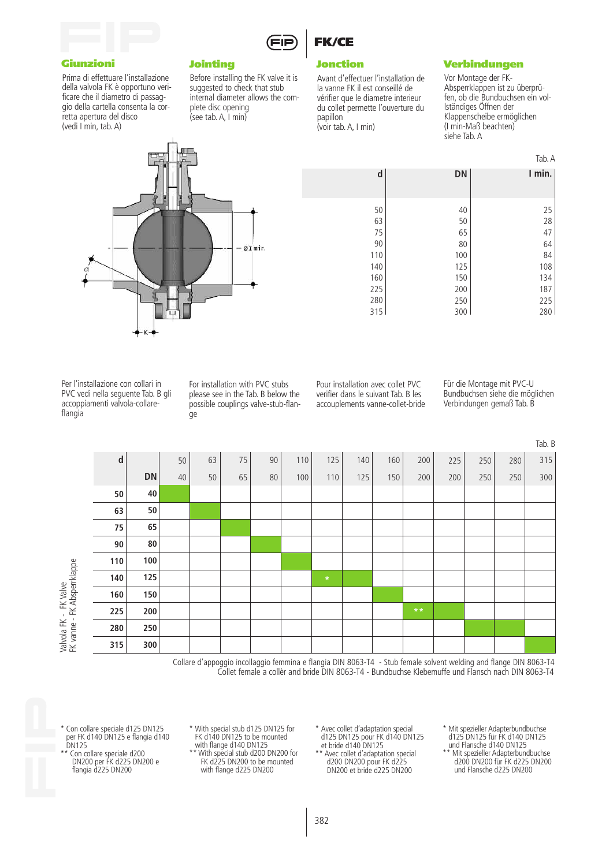

Prima di effettuare l'installazione della valvola FK è opportuno verificare che il diametro di passaggio della cartella consenta la corretta apertura del disco (vedi I min, tab. A)

Before installing the FK valve it is suggested to check that stub internal diameter allows the complete disc opening (see tab. A, I min)



Avant d'effectuer l'installation de la vanne FK il est conseillé de vérifier que le diametre interieur du collet permette l'ouverture du papillon (voir tab. A, I min)

**d**

### **Giunzioni Jointing Jonction Verbindungen**

**DN** 

Vor Montage der FK-Absperrklappen ist zu überprüfen, ob die Bundbuchsen ein vollständiges Öffnen der Klappenscheibe ermöglichen (I min-Maß beachten) siehe Tab. A

**I min.**

Tab. A

Tab. B

 $\sigma$ mir

Per l'installazione con collari in PVC vedi nella seguente Tab. B gli accoppiamenti valvola-collareflangia

For installation with PVC stubs please see in the Tab. B below the possible couplings valve-stub-flange

Pour installation avec collet PVC verifier dans le suivant Tab. B les accouplements vanne-collet-bride Für die Montage mit PVC-U Bundbuchsen siehe die möglichen Verbindungen gemaß Tab. B

|             |           |    |    |    |        |     |         |     |     |                 |     |     |     | iap. B |
|-------------|-----------|----|----|----|--------|-----|---------|-----|-----|-----------------|-----|-----|-----|--------|
| $\mathbf d$ |           | 50 | 63 | 75 | $90\,$ | 110 | 125     | 140 | 160 | 200             | 225 | 250 | 280 | 315    |
|             | <b>DN</b> | 40 | 50 | 65 | 80     | 100 | 110     | 125 | 150 | 200             | 200 | 250 | 250 | 300    |
| $50\,$      | 40        |    |    |    |        |     |         |     |     |                 |     |     |     |        |
| 63          | 50        |    |    |    |        |     |         |     |     |                 |     |     |     |        |
| 75          | 65        |    |    |    |        |     |         |     |     |                 |     |     |     |        |
| $90\,$      | 80        |    |    |    |        |     |         |     |     |                 |     |     |     |        |
| 110         | 100       |    |    |    |        |     |         |     |     |                 |     |     |     |        |
| 140         | 125       |    |    |    |        |     | $\star$ |     |     |                 |     |     |     |        |
| 160         | 150       |    |    |    |        |     |         |     |     |                 |     |     |     |        |
| 225         | 200       |    |    |    |        |     |         |     |     | $\star$ $\star$ |     |     |     |        |
| 280         | 250       |    |    |    |        |     |         |     |     |                 |     |     |     |        |
| 315         | 300       |    |    |    |        |     |         |     |     |                 |     |     |     |        |

Collare d'appoggio incollaggio femmina e flangia DIN 8063-T4 - Stub female solvent welding and flange DIN 8063-T4 Collet female a collèr and bride DIN 8063-T4 - Bundbuchse Klebemuffe und Flansch nach DIN 8063-T4

\* Con collare speciale d125 DN125 per FK d140 DN125 e flangia d140 DN125

Valvola FK - FK Valve<br>FK vanne - FK Absperrklappe FK vanne - FK Absperrklappe

- \*\* Con collare speciale d200 DN200 per FK d225 DN200 e flangia d225 DN200
- \* With special stub d125 DN125 for FK d140 DN125 to be mounted
- with flange d140 DN125 \*\* With special stub d200 DN200 for
- FK d225 DN200 to be mounted with flange d225 DN200

\* Avec collet d'adaptation special d125 DN125 pour FK d140 DN125 et bride d140 DN125

- Avec collet d'adaptation special d200 DN200 pour FK d225 DN200 et bride d225 DN200
- \* Mit spezieller Adapterbundbuchse d125 DN125 für FK d140 DN125 und Flansche d140 DN125
- \*\* Mit spezieller Adapterbundbuchse d200 DN200 für FK d225 DN200 und Flansche d225 DN200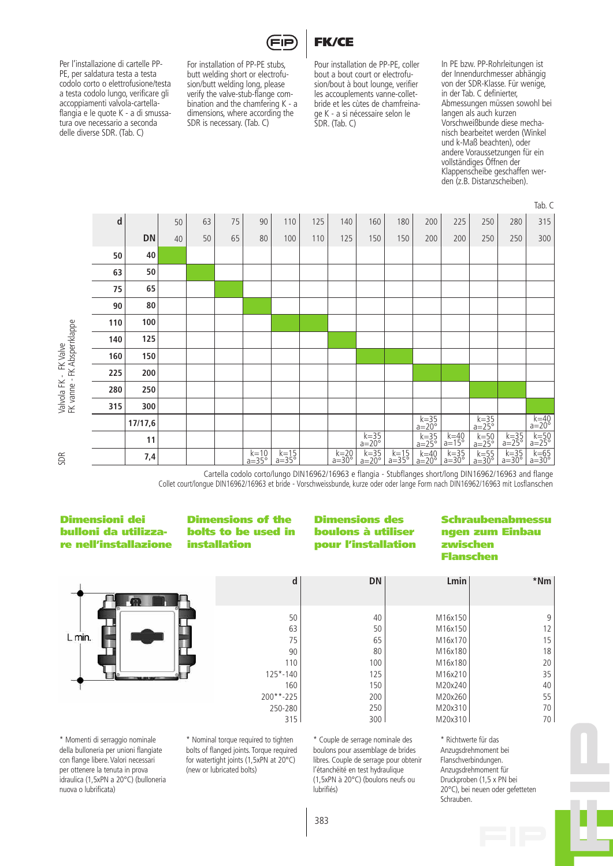

## **FK/CE**

Per l'installazione di cartelle PP-PE, per saldatura testa a testa codolo corto o elettrofusione/testa a testa codolo lungo, verificare gli accoppiamenti valvola-cartellaflangia e le quote K - a di smussatura ove necessario a seconda delle diverse SDR. (Tab. C)

For installation of PP-PE stubs, butt welding short or electrofusion/butt welding long, please verify the valve-stub-flange combination and the chamfering K - a dimensions, where according the SDR is necessary. (Tab. C)

Pour installation de PP-PE, coller bout a bout court or electrofusion/bout à bout lounge, verifier les accouplements vanne-colletbride et les cùtes de chamfreinage K - a si nécessaire selon le SDR. (Tab. C)

In PE bzw. PP-Rohrleitungen ist der Innendurchmesser abhängig von der SDR-Klasse. Für wenige, in der Tab. C definierter, Abmessungen müssen sowohl bei langen als auch kurzen Vorschweißbunde diese mechanisch bearbeitet werden (Winkel und k-Maß beachten), oder andere Voraussetzungen für ein vollständiges Öffnen der Klappenscheibe geschaffen werden (z.B. Distanzscheiben).

Tab. C

|     |           |    |    |    |    |                 |                 |     |                          |                                             |                          |                                    |                                    |                                             | ian' c                                      |
|-----|-----------|----|----|----|----|-----------------|-----------------|-----|--------------------------|---------------------------------------------|--------------------------|------------------------------------|------------------------------------|---------------------------------------------|---------------------------------------------|
| d   |           | 50 | 63 | 75 | 90 | 110             | 125             | 140 | 160                      | 180                                         | 200                      | 225                                | 250                                | 280                                         | 315                                         |
|     | <b>DN</b> | 40 | 50 | 65 | 80 | 100             | 110             | 125 | 150                      | 150                                         | 200                      | 200                                | 250                                | 250                                         | 300                                         |
| 50  | 40        |    |    |    |    |                 |                 |     |                          |                                             |                          |                                    |                                    |                                             |                                             |
| 63  | 50        |    |    |    |    |                 |                 |     |                          |                                             |                          |                                    |                                    |                                             |                                             |
| 75  | 65        |    |    |    |    |                 |                 |     |                          |                                             |                          |                                    |                                    |                                             |                                             |
| 90  | 80        |    |    |    |    |                 |                 |     |                          |                                             |                          |                                    |                                    |                                             |                                             |
| 110 | 100       |    |    |    |    |                 |                 |     |                          |                                             |                          |                                    |                                    |                                             |                                             |
| 140 | 125       |    |    |    |    |                 |                 |     |                          |                                             |                          |                                    |                                    |                                             |                                             |
| 160 | 150       |    |    |    |    |                 |                 |     |                          |                                             |                          |                                    |                                    |                                             |                                             |
| 225 | 200       |    |    |    |    |                 |                 |     |                          |                                             |                          |                                    |                                    |                                             |                                             |
| 280 | 250       |    |    |    |    |                 |                 |     |                          |                                             |                          |                                    |                                    |                                             |                                             |
| 315 | 300       |    |    |    |    |                 |                 |     |                          |                                             |                          |                                    |                                    |                                             |                                             |
|     | 17/17,6   |    |    |    |    |                 |                 |     |                          |                                             |                          |                                    |                                    |                                             | $k=40$<br>$a=20^{\circ}$                    |
|     | 11        |    |    |    |    |                 |                 |     |                          |                                             |                          |                                    |                                    |                                             | $k=50$<br>$a=25^{\circ}$                    |
|     | 7,4       |    |    |    |    |                 |                 |     |                          |                                             | $k=40$<br>$a=20^{\circ}$ |                                    | $k=55$<br>a=30°                    |                                             | $k=65$<br>a=30°                             |
|     |           |    |    |    |    | $k=10$<br>a=35° | $k=15$<br>a=35° |     | $k=20$<br>$a=30^{\circ}$ | $k=35$<br>$a=20^{\circ}$<br>$k=35$<br>a=20° | $k=15$<br>$a=35^{\circ}$ | $k=35$<br>a=20°<br>$k=35$<br>a=25° | $k=40$<br>a=15°<br>$k=35$<br>a=30° | $k=35$<br>a=25°<br>$k=50$<br>$a=25^{\circ}$ | $k=35$<br>a=25°<br>$k=35$<br>$a=30^{\circ}$ |

Valvola FK - FK Valve<br>FK vanne - FK Absperrklappe FK vanne - FK Absperrklappe Valvola FK - FK Valve

SDR

Cartella codolo corto/lungo DIN16962/16963 e flangia - Stubflanges short/long DIN16962/16963 and flange Collet court/longue DIN16962/16963 et bride - Vorschweissbunde, kurze oder oder lange Form nach DIN16962/16963 mit Losflanschen

**Dimensioni dei bulloni da utilizzare nell'installazione**

**Dimensions of the bolts to be used in installation**

**d**

### **Dimensions des boulons à utiliser pour l'installation**

**DN**

### **Schraubenabmessu ngen zum Einbau zwischen Flanschen**

**\*Nm**

**Lmin**

M16x150 M16x150 M16x170 M16x180 M16x180 M16x210 M20x240 M20x260 M20x310 M20x310



\* Momenti di serraggio nominale della bulloneria per unioni flangiate con flange libere. Valori necessari per ottenere la tenuta in prova idraulica (1,5xPN a 20°C) (bulloneria nuova o lubrificata)

\* Nominal torque required to tighten bolts of flanged joints. Torque required for watertight joints (1,5xPN at 20°C) (new or lubricated bolts)

\* Couple de serrage nominale des boulons pour assemblage de brides libres. Couple de serrage pour obtenir l'étanchéité en test hydraulique (1,5xPN à 20°C) (boulons neufs ou lubrifiés)

383

\* Richtwerte für das Anzugsdrehmoment bei Flanschverbindungen. Anzugsdrehmoment für Druckproben (1,5 x PN bei 20°C), bei neuen oder gefetteten Schrauben.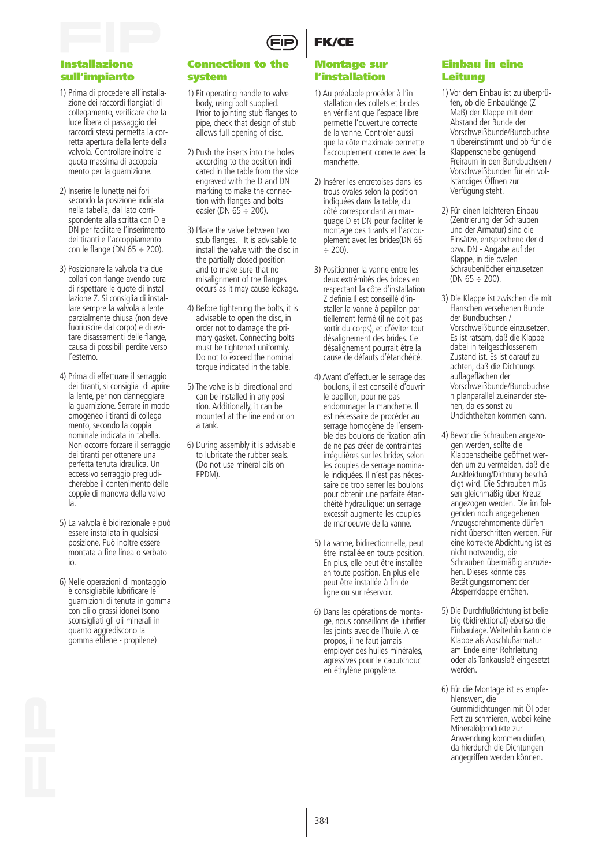

### **Installazione sull'impianto**

- 1) Prima di procedere all'installazione dei raccordi flangiati di collegamento, verificare che la luce libera di passaggio dei raccordi stessi permetta la corretta apertura della lente della valvola. Controllare inoltre la quota massima di accoppiamento per la guarnizione.
- 2) Inserire le lunette nei fori secondo la posizione indicata nella tabella, dal lato corrispondente alla scritta con D e DN per facilitare l'inserimento dei tiranti e l'accoppiamento con le flange (DN  $65 \div 200$ ).
- 3) Posizionare la valvola tra due collari con flange avendo cura di rispettare le quote di installazione Z. Si consiglia di installare sempre la valvola a lente parzialmente chiusa (non deve fuoriuscire dal corpo) e di evitare disassamenti delle flange, causa di possibili perdite verso l'esterno.
- 4) Prima di effettuare il serraggio dei tiranti, si consiglia di aprire la lente, per non danneggiare la guarnizione. Serrare in modo omogeneo i tiranti di collegamento, secondo la coppia nominale indicata in tabella. Non occorre forzare il serraggio dei tiranti per ottenere una perfetta tenuta idraulica. Un eccessivo serraggio pregiudicherebbe il contenimento delle coppie di manovra della valvola.
- 5) La valvola è bidirezionale e può essere installata in qualsiasi posizione. Può inoltre essere montata a fine linea o serbatoio.
- 6) Nelle operazioni di montaggio è consigliabile lubrificare le guarnizioni di tenuta in gomma con oli o grassi idonei (sono sconsigliati gli oli minerali in quanto aggrediscono la gomma etilene - propilene)

# **Connection to the**

# **system**

- 1) Fit operating handle to valve body, using bolt supplied. Prior to jointing stub flanges to pipe, check that design of stub allows full opening of disc.
- 2) Push the inserts into the holes according to the position indicated in the table from the side engraved with the D and DN marking to make the connection with flanges and bolts easier (DN  $65 \div 200$ ).
- 3) Place the valve between two stub flanges. It is advisable to install the valve with the disc in the partially closed position and to make sure that no misalignment of the flanges occurs as it may cause leakage.
- 4) Before tightening the bolts, it is advisable to open the disc, in order not to damage the primary gasket. Connecting bolts must be tightened uniformly. Do not to exceed the nominal torque indicated in the table.
- 5) The valve is bi-directional and can be installed in any position. Additionally, it can be mounted at the line end or on a tank.
- 6) During assembly it is advisable to lubricate the rubber seals. (Do not use mineral oils on EPDM).



### **Montage sur l'installation**

- 1) Au préalable procéder à l'installation des collets et brides en vérifiant que l'espace libre permette l'ouverture correcte de la vanne. Controler aussi que la côte maximale permette l'accouplement correcte avec la manchette.
- 2) Insérer les entretoises dans les trous ovales selon la position indiquées dans la table, du côté correspondant au marquage D et DN pour faciliter le montage des tirants et l'accouplement avec les brides(DN 65  $\div$  200).
- 3) Positionner la vanne entre les deux extrémités des brides en respectant la côte d'installation Z definie.Il est conseillé d'installer la vanne à papillon partiellement fermé (il ne doit pas sortir du corps), et d'éviter tout désalignement des brides. Ce désalignement pourrait être la cause de défauts d'étanchéité.
- 4) Avant d'effectuer le serrage des boulons, il est conseillé d'ouvrir le papillon, pour ne pas endommager la manchette. Il est nécessaire de procéder au serrage homogène de l'ensemble des boulons de fixation afin de ne pas créer de contraintes irrégulières sur les brides, selon les couples de serrage nominale indiquées. Il n'est pas nécessaire de trop serrer les boulons pour obtenir une parfaite étanchéité hydraulique: un serrage excessif augmente les couples de manoeuvre de la vanne.
- 5) La vanne, bidirectionnelle, peut être installée en toute position. En plus, elle peut être installée en toute position. En plus elle peut être installée à fin de ligne ou sur réservoir.
- 6) Dans les opérations de montage, nous conseillons de lubrifier les joints avec de l'huile. A ce propos, il ne faut jamais employer des huiles minérales, agressives pour le caoutchouc en éthylène propylène.

### **Einbau in eine Leitung**

- 1) Vor dem Einbau ist zu überprüfen, ob die Einbaulänge (Z - Maß) der Klappe mit dem Abstand der Bunde der Vorschweißbunde/Bundbuchse n übereinstimmt und ob für die Klappenscheibe genügend Freiraum in den Bundbuchsen / Vorschweißbunden für ein vollständiges Öffnen zur Verfügung steht.
- 2) Für einen leichteren Einbau (Zentrierung der Schrauben und der Armatur) sind die Einsätze, entsprechend der d bzw. DN - Angabe auf der Klappe, in die ovalen Schraubenlöcher einzusetzen (DN  $65 \div 200$ ).
- 3) Die Klappe ist zwischen die mit Flanschen versehenen Bunde der Bundbuchsen / Vorschweißbunde einzusetzen. Es ist ratsam, daß die Klappe dabei in teilgeschlossenem Zustand ist. Es ist darauf zu achten, daß die Dichtungsauflageflächen der Vorschweißbunde/Bundbuchse n planparallel zueinander stehen, da es sonst zu Undichtheiten kommen kann.
- 4) Bevor die Schrauben angezogen werden, sollte die Klappenscheibe geöffnet werden um zu vermeiden, daß die Auskleidung/Dichtung beschädigt wird. Die Schrauben müssen gleichmäßig über Kreuz angezogen werden. Die im folgenden noch angegebenen Anzugsdrehmomente dürfen nicht überschritten werden. Für eine korrekte Abdichtung ist es nicht notwendig, die Schrauben übermäßig anzuziehen. Dieses könnte das Betätigungsmoment der Absperrklappe erhöhen.
- 5) Die Durchflußrichtung ist beliebig (bidirektional) ebenso die Einbaulage. Weiterhin kann die Klappe als Abschlußarmatur am Ende einer Rohrleitung oder als Tankauslaß eingesetzt werden.
- 6) Für die Montage ist es empfehlenswert, die Gummidichtungen mit Öl oder Fett zu schmieren, wobei keine Mineralölprodukte zur Anwendung kommen dürfen, da hierdurch die Dichtungen angegriffen werden können.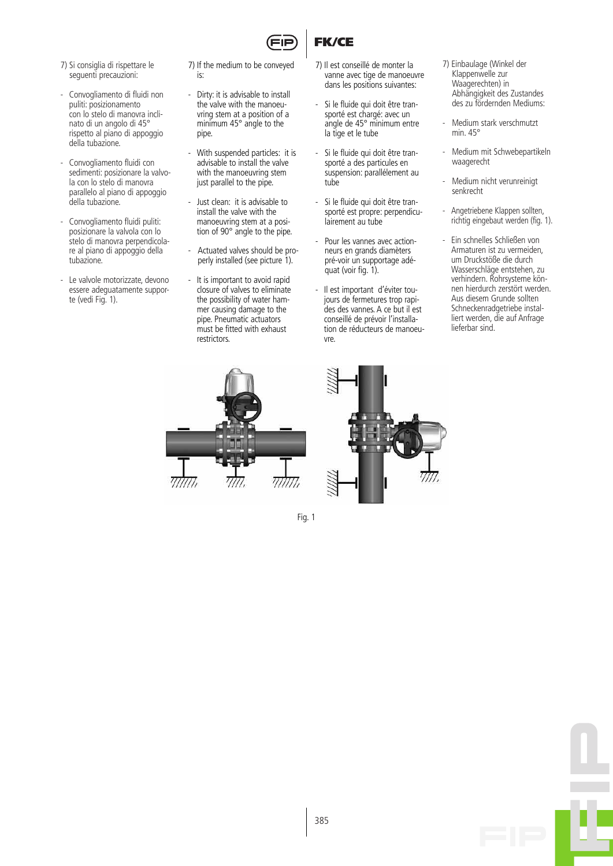- 7) Si consiglia di rispettare le seguenti precauzioni:
- Convogliamento di fluidi non puliti: posizionamento con lo stelo di manovra inclinato di un angolo di 45° rispetto al piano di appoggio della tubazione.
- Convogliamento fluidi con sedimenti: posizionare la valvola con lo stelo di manovra parallelo al piano di appoggio della tubazione.
- Convogliamento fluidi puliti: posizionare la valvola con lo stelo di manovra perpendicolare al piano di appoggio della tubazione.
- Le valvole motorizzate, devono essere adeguatamente supporte (vedi Fig. 1).
- 7) If the medium to be conveyed
- is: - Dirty: it is advisable to install the valve with the manoeu-

vring stem at a position of a minimum 45° angle to the

pipe.

- With suspended particles: it is advisable to install the valve with the manoeuvring stem just parallel to the pipe.
- Just clean: it is advisable to install the valve with the manoeuvring stem at a position of 90° angle to the pipe.
- Actuated valves should be properly installed (see picture 1).
- It is important to avoid rapid closure of valves to eliminate the possibility of water hammer causing damage to the pipe. Pneumatic actuators must be fitted with exhaust restrictors.
- **FK/CE**
- 7) Il est conseillé de monter la vanne avec tige de manoeuvre dans les positions suivantes:
- Si le fluide qui doit être transporté est chargé: avec un angle de 45° minimum entre la tige et le tube
- Si le fluide qui doit être transporté a des particules en suspension: parallélement au tube
- Si le fluide qui doit être transporté est propre: perpendiculairement au tube
- Pour les vannes avec actionneurs en grands diamèters pré-voir un supportage adéquat (voir fig. 1).
- Il est important d'éviter toujours de fermetures trop rapides des vannes. A ce but il est conseillé de prévoir l'installation de réducteurs de manoeuvre.



- Medium stark verschmutzt min. 45°
- Medium mit Schwebepartikeln waagerecht
- Medium nicht verunreinigt senkrecht
- Angetriebene Klappen sollten, richtig eingebaut werden (fig. 1).
- Ein schnelles Schließen von Armaturen ist zu vermeiden, um Druckstöße die durch Wasserschläge entstehen, zu verhindern. Rohrsysteme können hierdurch zerstört werden. Aus diesem Grunde sollten Schneckenradgetriebe installiert werden, die auf Anfrage lieferbar sind.





385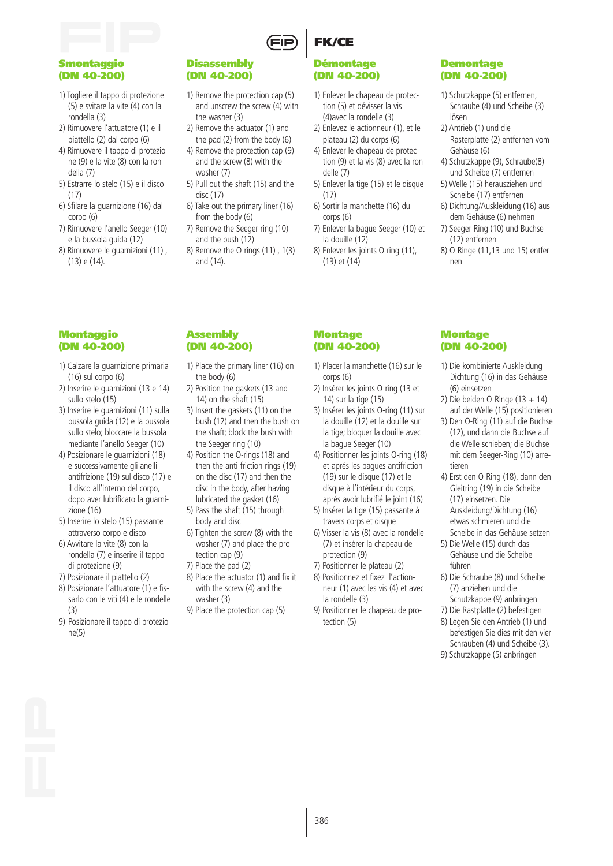

### **Smontaggio (DN 40-200)**

- 1) Togliere il tappo di protezione (5) e svitare la vite (4) con la rondella (3)
- 2) Rimuovere l'attuatore (1) e il piattello (2) dal corpo (6)
- 4) Rimuovere il tappo di protezione (9) e la vite (8) con la rondella (7)
- 5) Estrarre lo stelo (15) e il disco (17)
- 6) Sfilare la guarnizione (16) dal corpo (6)
- 7) Rimuovere l'anello Seeger (10) e la bussola guida (12)
- 8) Rimuovere le guarnizioni (11) , (13) e (14).

### **Montaggio (DN 40-200)**

- 1) Calzare la guarnizione primaria (16) sul corpo (6)
- 2) Inserire le guarnizioni (13 e 14) sullo stelo (15)
- 3) Inserire le guarnizioni (11) sulla bussola guida (12) e la bussola sullo stelo; bloccare la bussola mediante l'anello Seeger (10)
- 4) Posizionare le guarnizioni (18) e successivamente gli anelli antifrizione (19) sul disco (17) e il disco all'interno del corpo, dopo aver lubrificato la guarnizione (16)
- 5) Inserire lo stelo (15) passante attraverso corpo e disco
- 6) Avvitare la vite (8) con la rondella (7) e inserire il tappo di protezione (9)
- 7) Posizionare il piattello (2)
- 8) Posizionare l'attuatore (1) e fissarlo con le viti (4) e le rondelle (3)
- 9) Posizionare il tappo di protezione(5)

### **Disassembly (DN 40-200)**

- 1) Remove the protection cap (5) and unscrew the screw (4) with the washer (3)
- 2) Remove the actuator (1) and the pad (2) from the body (6)
- 4) Remove the protection cap (9) and the screw (8) with the washer (7)
- 5) Pull out the shaft (15) and the disc (17)
- 6) Take out the primary liner (16) from the body (6)
- 7) Remove the Seeger ring (10) and the bush (12)
- 8) Remove the O-rings (11) , 1(3) and (14).

# **FK/CE**

### **Démontage (DN 40-200)**

- 1) Enlever le chapeau de protection (5) et dévisser la vis (4)avec la rondelle (3)
- 2) Enlevez le actionneur (1), et le plateau (2) du corps (6)
- 4) Enlever le chapeau de protection (9) et la vis (8) avec la rondelle (7)
- 5) Enlever la tige (15) et le disque (17)
- 6) Sortir la manchette (16) du corps (6)
- 7) Enlever la bague Seeger (10) et la douille (12)
- 8) Enlever les joints O-ring (11), (13) et (14)

### **Demontage (DN 40-200)**

- 1) Schutzkappe (5) entfernen, Schraube (4) und Scheibe (3) lösen
- 2) Antrieb (1) und die Rasterplatte (2) entfernen vom Gehäuse (6)
- 4) Schutzkappe (9), Schraube(8) und Scheibe (7) entfernen
- 5) Welle (15) herausziehen und Scheibe (17) entfernen
- 6) Dichtung/Auskleidung (16) aus dem Gehäuse (6) nehmen
- 7) Seeger-Ring (10) und Buchse (12) entfernen
- 8) O-Ringe (11,13 und 15) entfernen

### **Assembly (DN 40-200)**

- 1) Place the primary liner (16) on the body (6)
- 2) Position the gaskets (13 and 14) on the shaft (15)
- 3) Insert the gaskets (11) on the bush (12) and then the bush on the shaft; block the bush with the Seeger ring (10)
- 4) Position the O-rings (18) and then the anti-friction rings (19) on the disc (17) and then the disc in the body, after having lubricated the gasket (16)
- 5) Pass the shaft (15) through body and disc
- 6) Tighten the screw (8) with the washer (7) and place the protection cap (9)
- 7) Place the pad (2)
- 8) Place the actuator (1) and fix it with the screw (4) and the washer (3)
- 9) Place the protection cap (5)

### **Montage (DN 40-200)**

- 1) Placer la manchette (16) sur le corps (6)
- 2) Insérer les joints O-ring (13 et 14) sur la tige (15) 3) Insérer les joints O-ring (11) sur
- la douille (12) et la douille sur la tige; bloquer la douille avec la bague Seeger (10)
- 4) Positionner les joints O-ring (18) et aprés les bagues antifriction (19) sur le disque (17) et le disque à l'intérieur du corps, aprés avoir lubrifié le joint (16)
- 5) Insérer la tige (15) passante à travers corps et disque
- 6) Visser la vis (8) avec la rondelle (7) et insérer la chapeau de protection (9)
- 7) Positionner le plateau (2)
- 8) Positionnez et fixez l'actionneur (1) avec les vis (4) et avec la rondelle (3)
- 9) Positionner le chapeau de protection (5)

### **Montage (DN 40-200)**

- 1) Die kombinierte Auskleidung Dichtung (16) in das Gehäuse (6) einsetzen
- 2) Die beiden O-Ringe (13 + 14) auf der Welle (15) positionieren
- 3) Den O-Ring (11) auf die Buchse (12), und dann die Buchse auf die Welle schieben; die Buchse mit dem Seeger-Ring (10) arretieren
- 4) Erst den O-Ring (18), dann den Gleitring (19) in die Scheibe (17) einsetzen. Die Auskleidung/Dichtung (16) etwas schmieren und die Scheibe in das Gehäuse setzen
- 5) Die Welle (15) durch das Gehäuse und die Scheibe führen
- 6) Die Schraube (8) und Scheibe (7) anziehen und die Schutzkappe (9) anbringen
- 7) Die Rastplatte (2) befestigen
- 8) Legen Sie den Antrieb (1) und
- befestigen Sie dies mit den vier Schrauben (4) und Scheibe (3). 9) Schutzkappe (5) anbringen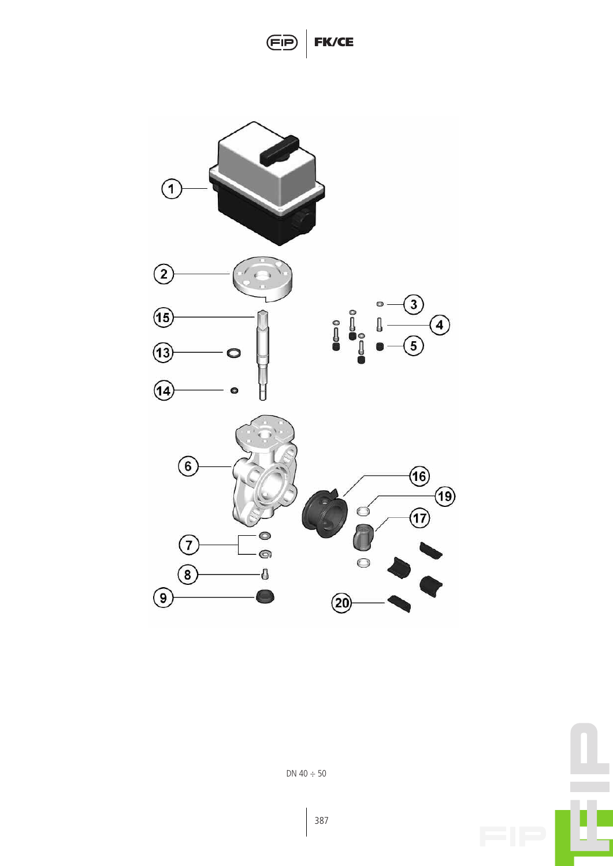



 $DN 40 \div 50$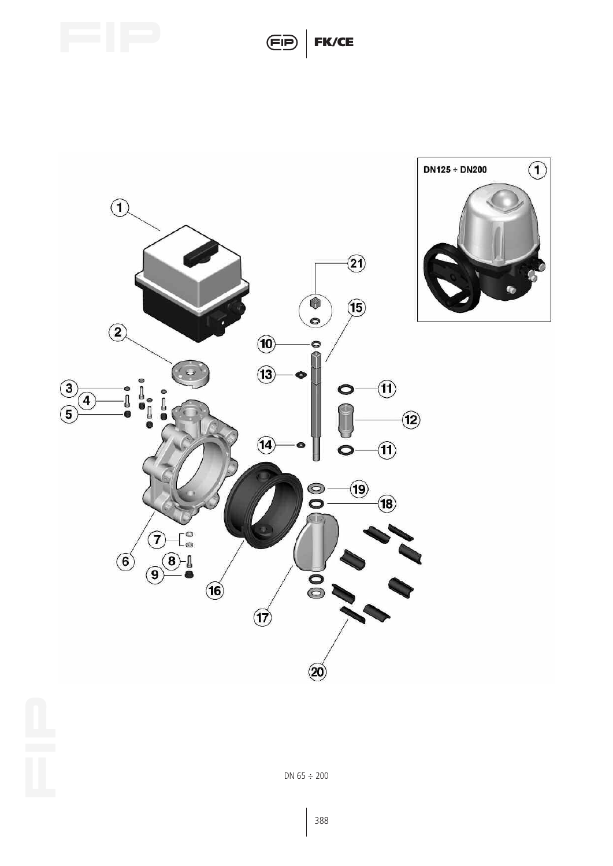



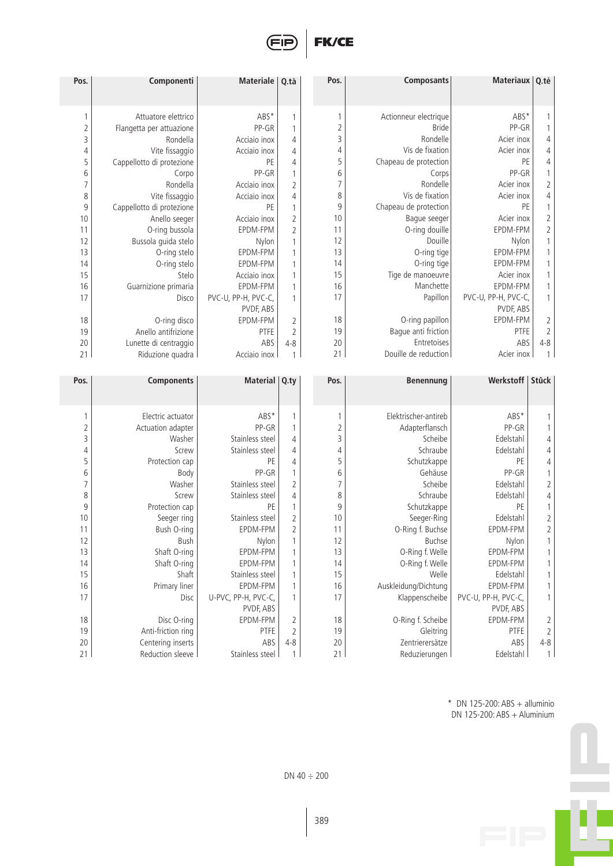

**FK/CE**

| Pos. | Componenti                | Materiale           | Q.tà           | Pos.           | <b>Composants</b>     | Materiaux Q.té      |                |
|------|---------------------------|---------------------|----------------|----------------|-----------------------|---------------------|----------------|
|      | Attuatore elettrico       | ABS*                |                |                | Actionneur electrique | ABS*                |                |
| 2    | Flangetta per attuazione  | PP-GR               |                | $\overline{2}$ | <b>Bride</b>          | PP-GR               |                |
| 3    | Rondella                  | Acciaio inox        | 4              | 3              | Rondelle              | Acier inox          | 4              |
| 4    | Vite fissaggio            | Acciaio inox        | 4              | 4              | Vis de fixation       | Acier inox          | 4              |
| 5    | Cappellotto di protezione | PE                  | 4              | 5              | Chapeau de protection | PE                  | 4              |
| 6    | Corpo                     | PP-GR               |                | 6              | Corps                 | PP-GR               |                |
| 7    | Rondella                  | Acciaio inox        | $\overline{2}$ | 7              | Rondelle              | Acier inox          | 2              |
| 8    | Vite fissaggio            | Acciaio inox        | 4              | 8              | Vis de fixation       | Acier inox          | 4              |
| 9    | Cappellotto di protezione | PE                  |                | 9              | Chapeau de protection | PE                  |                |
| 10   | Anello seeger             | Acciaio inox        | $\overline{2}$ | 10             | Baque seeger          | Acier inox          | 2              |
| 11   | O-ring bussola            | EPDM-FPM            | $\overline{2}$ | 11             | O-ring douille        | EPDM-FPM            | $\overline{2}$ |
| 12   | Bussola guida stelo       | Nylon               |                | 12             | Douille               | Nylon               |                |
| 13   | O-ring stelo              | EPDM-FPM            |                | 13             | O-ring tige           | EPDM-FPM            |                |
| 14   | O-ring stelo              | EPDM-FPM            |                | 14             | O-ring tige           | EPDM-FPM            |                |
| 15   | Stelo                     | Acciaio inox        |                | 15             | Tige de manoeuvre     | Acier inox          |                |
| 16   | Guarnizione primaria      | EPDM-FPM            |                | 16             | Manchette             | EPDM-FPM            |                |
| 17   | Disco                     | PVC-U, PP-H, PVC-C, |                | 17             | Papillon              | PVC-U, PP-H, PVC-C, |                |
|      |                           | PVDF, ABS           |                |                |                       | PVDF, ABS           |                |
| 18   | O-ring disco              | EPDM-FPM            | $\overline{2}$ | 18             | O-ring papillon       | EPDM-FPM            | 2              |
| 19   | Anello antifrizione       | PTFE                | $\overline{2}$ | 19             | Bague anti friction   | PTFE                | 2              |
| 20   | Lunette di centraggio     | ABS                 | $4 - 8$        | 20             | Entretoises           | ABS                 | $4 - 8$        |
| 21   | Riduzione quadra          | Acciaio inox        |                | 21             | Douille de reduction  | Acier inox          |                |

| Pos. | <b>Components</b>  | Material $\vert$ Q.ty |                | Pos.           | <b>Benennung</b>     | Werkstoff           | Stûck   |
|------|--------------------|-----------------------|----------------|----------------|----------------------|---------------------|---------|
|      |                    |                       |                |                |                      |                     |         |
|      |                    |                       |                |                |                      |                     |         |
|      | Electric actuator  | ABS*                  |                |                | Elektrischer-antireb | ABS*                |         |
| 2    | Actuation adapter  | PP-GR                 |                | $\overline{c}$ | Adapterflansch       | PP-GR               |         |
| 3    | Washer             | Stainless steel       | 4              | 3              | Scheibe              | Edelstahl           |         |
| 4    | Screw              | Stainless steel       | 4              | 4              | Schraube             | Edelstahl           |         |
| 5    | Protection cap     | PE                    | 4              | 5              | Schutzkappe          | PE                  | 4       |
| 6    | Body               | PP-GR                 |                | 6              | Gehäuse              | PP-GR               |         |
| 7    | Washer             | Stainless steel       | $\overline{2}$ | 7              | Scheibe              | Edelstahl           | 2       |
| 8    | Screw              | Stainless steel       | 4              | 8              | Schraube             | Edelstahl           | 4       |
| 9    | Protection cap     | PE                    |                | 9              | Schutzkappe          | PE                  |         |
| 10   | Seeger ring        | Stainless steel       | 2              | 10             | Seeger-Ring          | Edelstahl           | 2       |
| 11   | Bush O-ring        | EPDM-FPM              | $\overline{2}$ | 11             | O-Ring f. Buchse     | EPDM-FPM            | 2       |
| 12   | Bush               | Nylon                 |                | 12             | Buchse               | Nylon               |         |
| 13   | Shaft O-ring       | EPDM-FPM              |                | 13             | O-Ring f. Welle      | EPDM-FPM            |         |
| 14   | Shaft O-ring       | EPDM-FPM              |                | 14             | O-Ring f. Welle      | EPDM-FPM            |         |
| 15   | Shaft              | Stainless steel       |                | 15             | Welle                | Edelstahl           |         |
| 16   | Primary liner      | EPDM-FPM              |                | 16             | Auskleidung/Dichtung | EPDM-FPM            |         |
| 17   | Disc               | U-PVC, PP-H, PVC-C,   |                | 17             | Klappenscheibe       | PVC-U, PP-H, PVC-C, |         |
|      |                    | PVDF, ABS             |                |                |                      | PVDF, ABS           |         |
| 18   | Disc O-ring        | EPDM-FPM              | 2              | 18             | O-Ring f. Scheibe    | EPDM-FPM            | 2       |
| 19   | Anti-friction ring | <b>PTFE</b>           | 2              | 19             | Gleitring            | PTFE                | 2       |
| 20   | Centering inserts  | ABS                   | $4 - 8$        | 20             | Zentrierersätze      | ABS                 | $4 - 8$ |
| 21   | Reduction sleeve   | Stainless steel       |                | 21             | Reduzierungen        | Edelstahl           |         |

 $*$  DN 125-200: ABS + alluminio DN 125-200:ABS + Aluminium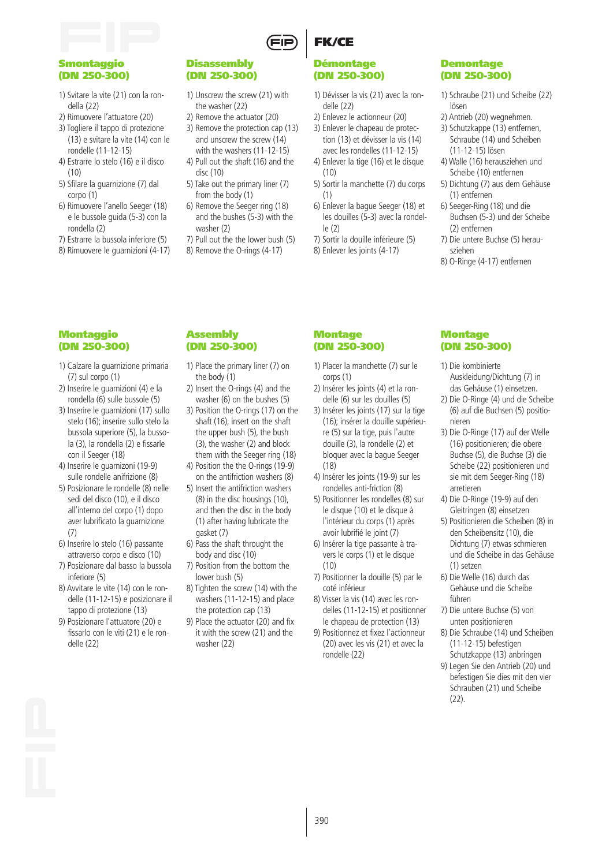

### **Smontaggio (DN 250-300)**

- 1) Svitare la vite (21) con la rondella (22)
- 2) Rimuovere l'attuatore (20)
- 3) Togliere il tappo di protezione (13) e svitare la vite (14) con le rondelle (11-12-15)
- 4) Estrarre lo stelo (16) e il disco (10)
- 5) Sfilare la guarnizione (7) dal corpo (1)
- 6) Rimuovere l'anello Seeger (18) e le bussole guida (5-3) con la rondella (2)
- 7) Estrarre la bussola inferiore (5)
- 8) Rimuovere le guarnizioni (4-17)

### **Disassembly (DN 250-300)**

- 1) Unscrew the screw (21) with the washer (22)
- 2) Remove the actuator (20)
- 3) Remove the protection cap (13) and unscrew the screw (14) with the washers (11-12-15)
- 4) Pull out the shaft (16) and the disc (10)
- 5) Take out the primary liner (7) from the body (1)
- 6) Remove the Seeger ring (18) and the bushes (5-3) with the washer (2)
- 7) Pull out the the lower bush (5)
- 8) Remove the O-rings (4-17)

# **FK/CE**

### **Démontage (DN 250-300)**

- 1) Dévisser la vis (21) avec la rondelle (22)
- 2) Enlevez le actionneur (20)
- 3) Enlever le chapeau de protection (13) et dévisser la vis (14) avec les rondelles (11-12-15)
- 4) Enlever la tige (16) et le disque (10)
- 5) Sortir la manchette (7) du corps (1)
- 6) Enlever la bague Seeger (18) et les douilles (5-3) avec la rondelle (2)
- 7) Sortir la douille inférieure (5)
- 8) Enlever les joints (4-17)

### **Demontage (DN 250-300)**

- 1) Schraube (21) und Scheibe (22) lösen
- 2) Antrieb (20) wegnehmen.
- 3) Schutzkappe (13) entfernen, Schraube (14) und Scheiben (11-12-15) lösen
- 4) Walle (16) herausziehen und Scheibe (10) entfernen
- 5) Dichtung (7) aus dem Gehäuse (1) entfernen
- 6) Seeger-Ring (18) und die Buchsen (5-3) und der Scheibe (2) entfernen
- 7) Die untere Buchse (5) herausziehen
- 8) O-Ringe (4-17) entfernen

### **Montaggio (DN 250-300)**

- 1) Calzare la guarnizione primaria (7) sul corpo (1)
- 2) Inserire le guarnizioni (4) e la rondella (6) sulle bussole (5)
- 3) Inserire le guarnizioni (17) sullo stelo (16); inserire sullo stelo la bussola superiore (5), la bussola (3), la rondella (2) e fissarle con il Seeger (18)
- 4) Inserire le guarnizoni (19-9) sulle rondelle anifrizione (8)
- 5) Posizionare le rondelle (8) nelle sedi del disco (10), e il disco all'interno del corpo (1) dopo aver lubrificato la guarnizione (7)
- 6) Inserire lo stelo (16) passante attraverso corpo e disco (10)
- 7) Posizionare dal basso la bussola inferiore (5)
- 8) Avvitare le vite (14) con le rondelle (11-12-15) e posizionare il tappo di protezione (13)
- 9) Posizionare l'attuatore (20) e fissarlo con le viti (21) e le rondelle (22)

### **Assembly (DN 250-300)**

- 1) Place the primary liner (7) on the body (1)
- 2) Insert the O-rings (4) and the washer (6) on the bushes (5) 3) Position the O-rings (17) on the
- shaft (16), insert on the shaft the upper bush (5), the bush (3), the washer (2) and block them with the Seeger ring (18)
- 4) Position the the O-rings (19-9) on the antifriction washers (8) 5) Insert the antifriction washers
- (8) in the disc housings (10), and then the disc in the body (1) after having lubricate the gasket (7)
- 6) Pass the shaft throught the body and disc (10)
- 7) Position from the bottom the lower bush (5)
- 8) Tighten the screw (14) with the washers (11-12-15) and place the protection cap (13)
- 9) Place the actuator (20) and fix it with the screw (21) and the washer (22)

### **Montage (DN 250-300)**

- 1) Placer la manchette (7) sur le corps (1)
- 2) Insérer les joints (4) et la rondelle (6) sur les douilles (5) 3) Insérer les joints (17) sur la tige
- (16); insérer la douille supérieure (5) sur la tige, puis l'autre douille (3), la rondelle (2) et bloquer avec la bague Seeger (18)
- 4) Insérer les joints (19-9) sur les rondelles anti-friction (8)
- 5) Positionner les rondelles (8) sur le disque (10) et le disque à l'intérieur du corps (1) après avoir lubrifié le joint (7)
- 6) Insérer la tige passante à travers le corps (1) et le disque  $(10)$
- 7) Positionner la douille (5) par le coté inférieur
- 8) Visser la vis (14) avec les rondelles (11-12-15) et positionner le chapeau de protection (13)
- 9) Positionnez et fixez l'actionneur (20) avec les vis (21) et avec la rondelle (22)

### **Montage (DN 250-300)**

- 1) Die kombinierte Auskleidung/Dichtung (7) in das Gehäuse (1) einsetzen.
- 2) Die O-Ringe (4) und die Scheibe (6) auf die Buchsen (5) positionieren
- 3) Die O-Ringe (17) auf der Welle (16) positionieren; die obere Buchse (5), die Buchse (3) die Scheibe (22) positionieren und sie mit dem Seeger-Ring (18) arretieren
- 4) Die O-Ringe (19-9) auf den Gleitringen (8) einsetzen
- 5) Positionieren die Scheiben (8) in den Scheibensitz (10), die Dichtung (7) etwas schmieren und die Scheibe in das Gehäuse (1) setzen
- 6) Die Welle (16) durch das Gehäuse und die Scheibe führen
- 7) Die untere Buchse (5) von unten positionieren
- 8) Die Schraube (14) und Scheiben (11-12-15) befestigen
- Schutzkappe (13) anbringen 9) Legen Sie den Antrieb (20) und befestigen Sie dies mit den vier Schrauben (21) und Scheibe (22).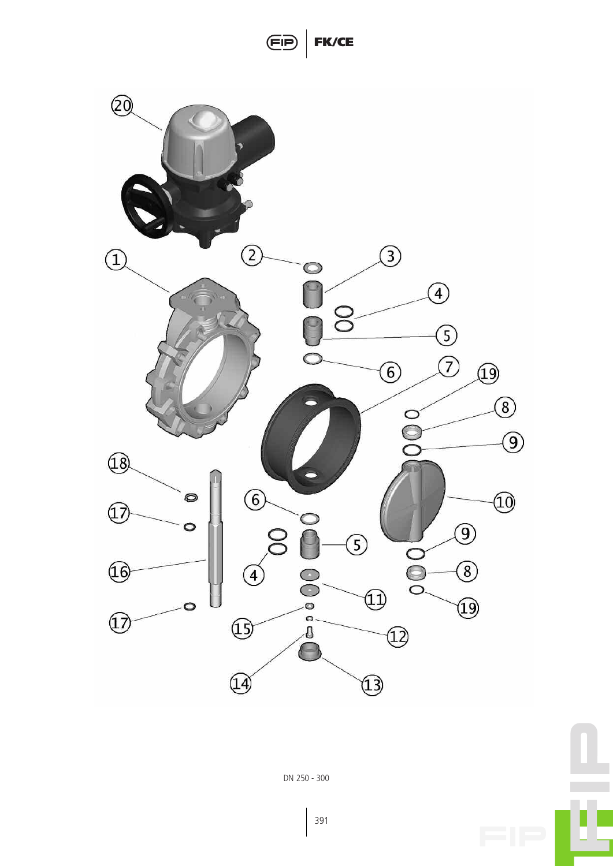



DN 250 - 300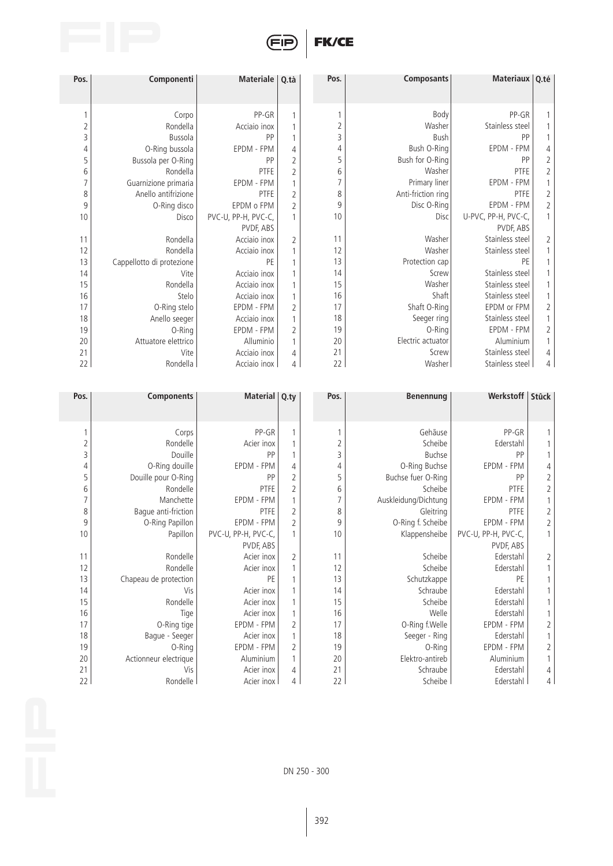



| Pos. | Componenti                | <b>Materiale</b>    | Q.tà           | Pos.           | <b>Composants</b>  | Materiaux Q.té      |                |
|------|---------------------------|---------------------|----------------|----------------|--------------------|---------------------|----------------|
|      |                           |                     |                |                |                    |                     |                |
|      | Corpo                     | PP-GR               |                |                | Body               | PP-GR               |                |
| 2    | Rondella                  | Acciaio inox        |                | $\overline{c}$ | Washer             | Stainless steel     |                |
| 3    | Bussola                   | PP                  |                | 3              | Bush               | PP                  |                |
| 4    | O-Ring bussola            | EPDM - FPM          | 4              | 4              | Bush O-Ring        | EPDM - FPM          | 4              |
| 5    | Bussola per O-Ring        | PP                  | 2              | 5              | Bush for O-Ring    | PP                  | $\overline{2}$ |
| 6    | Rondella                  | PTFE                |                | 6              | Washer             | PTFE                | $\overline{2}$ |
| 7    | Guarnizione primaria      | EPDM - FPM          |                | 7              | Primary liner      | EPDM - FPM          |                |
| 8    | Anello antifrizione       | PTFE                |                | 8              | Anti-friction ring | PTFE                | 2              |
| 9    | O-Ring disco              | EPDM o FPM          | $\overline{2}$ | 9              | Disc O-Ring        | EPDM - FPM          | $\overline{2}$ |
| 10   | Disco                     | PVC-U, PP-H, PVC-C, |                | 10             | Disc               | U-PVC, PP-H, PVC-C, |                |
|      |                           | PVDF, ABS           |                |                |                    | PVDF, ABS           |                |
| 11   | Rondella                  | Acciaio inox        |                | 11             | Washer             | Stainless steel     | 2              |
| 12   | Rondella                  | Acciaio inox        |                | 12             | Washer             | Stainless steel     |                |
| 13   | Cappellotto di protezione | PE                  |                | 13             | Protection cap     | PE                  |                |
| 14   | Vite                      | Acciaio inox        |                | 14             | Screw              | Stainless steel     |                |
| 15   | Rondella                  | Acciaio inox        |                | 15             | Washer             | Stainless steel     |                |
| 16   | Stelo                     | Acciaio inox        |                | 16             | Shaft              | Stainless steel     |                |
| 17   | O-Ring stelo              | EPDM - FPM          |                | 17             | Shaft O-Ring       | EPDM or FPM         | 2              |
| 18   | Anello seeger             | Acciaio inox        |                | 18             | Seeger ring        | Stainless steel     |                |
| 19   | O-Ring                    | EPDM - FPM          |                | 19             | O-Ring             | EPDM - FPM          | 2              |
| 20   | Attuatore elettrico       | Alluminio           |                | 20             | Electric actuator  | Aluminium           |                |
| 21   | Vite                      | Acciaio inox        | 4              | 21             | Screw              | Stainless steel     | 4              |
| 22   | Rondella                  | Acciaio inox        | 4              | 22             | Washer             | Stainless steel     | 4              |

| Pos. | <b>Components</b>     | Material $\vert$ Q.ty |                | Pos.           | <b>Benennung</b>     | Werkstoff           | Stûck          |
|------|-----------------------|-----------------------|----------------|----------------|----------------------|---------------------|----------------|
|      |                       |                       |                |                |                      |                     |                |
|      | Corps                 | PP-GR                 |                |                | Gehãuse              | PP-GR               |                |
| 2    | Rondelle              | Acier inox            |                | $\overline{2}$ | Scheibe              | Ederstahl           |                |
| 3    | Douille               | PP                    |                | 3              | <b>Buchse</b>        | PP                  |                |
| 4    | O-Ring douille        | EPDM - FPM            | 4              | 4              | O-Ring Buchse        | EPDM - FPM          | 4              |
| 5    | Douille pour O-Ring   | PP                    |                | 5              | Buchse fuer O-Ring   | PP                  | 2              |
| 6    | Rondelle              | PTFE                  |                | 6              | Scheibe              | PTFE                | $\overline{2}$ |
| 7    | Manchette             | EPDM - FPM            |                | 7              | Auskleidung/Dichtung | EPDM - FPM          |                |
| 8    | Baque anti-friction   | <b>PTFE</b>           | 2              | 8              | Gleitring            | PTFE                | 2              |
| 9    | O-Ring Papillon       | EPDM - FPM            | 2              | 9              | O-Ring f. Scheibe    | EPDM - FPM          | 2              |
| 10   | Papillon              | PVC-U, PP-H, PVC-C,   |                | 10             | Klappensheibe        | PVC-U, PP-H, PVC-C, |                |
|      |                       | PVDF. ABS             |                |                |                      | PVDF, ABS           |                |
| 11   | Rondelle              | Acier inox            | 2              | 11             | Scheibe              | Ederstahl           | 2              |
| 12   | Rondelle              | Acier inox            |                | 12             | Scheibe              | Ederstahl           |                |
| 13   | Chapeau de protection | PE                    |                | 13             | Schutzkappe          | PE                  |                |
| 14   | Vis                   | Acier inox            |                | 14             | Schraube             | Ederstahl           |                |
| 15   | Rondelle              | Acier inox            |                | 15             | Scheibe              | Ederstahl           |                |
| 16   | Tige                  | Acier inox            |                | 16             | Welle                | Ederstahl           |                |
| 17   | O-Ring tige           | EPDM - FPM            |                | 17             | O-Ring f.Welle       | EPDM - FPM          |                |
| 18   | Baque - Seeger        | Acier inox            |                | 18             | Seeger - Ring        | Ederstahl           |                |
| 19   | O-Ring                | EPDM - FPM            |                | 19             | O-Ring               | EPDM - FPM          |                |
| 20   | Actionneur electrique | Aluminium             |                | 20             | Elektro-antireb      | Aluminium           |                |
| 21   | Vis                   | Acier inox            | 4              | 21             | Schraube             | Ederstahl           | 4              |
| 22   | Rondelle              | Acier inox            | $\overline{4}$ | 22             | Scheibe              | Ederstahl           | 4              |